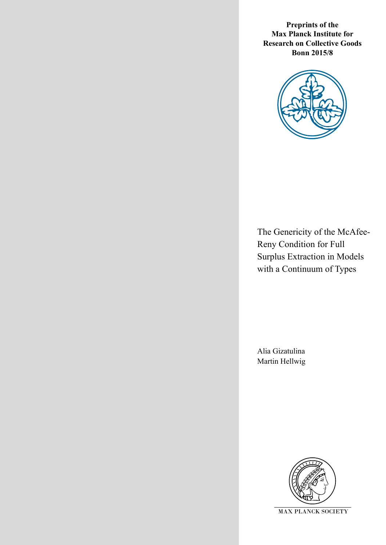**Preprints of the Max Planck Institute for Research on Collective Goods Bonn 2015/8**



The Genericity of the McAfee-Reny Condition for Full Surplus Extraction in Models with a Continuum of Types

Alia Gizatulina Martin Hellwig

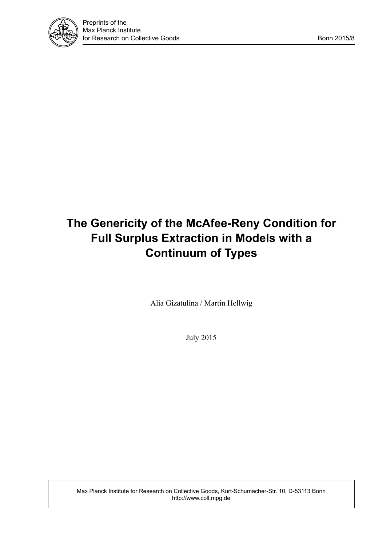

# **The Genericity of the McAfee-Reny Condition for Full Surplus Extraction in Models with a Continuum of Types**

Alia Gizatulina / Martin Hellwig

July 2015

Max Planck Institute for Research on Collective Goods, Kurt-Schumacher-Str. 10, D-53113 Bonn http://www.coll.mpg.de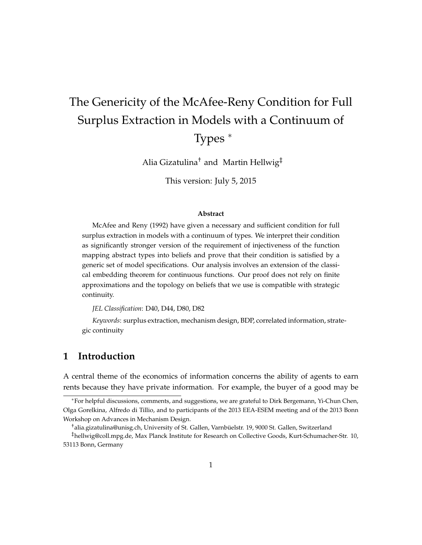# The Genericity of the McAfee-Reny Condition for Full Surplus Extraction in Models with a Continuum of Types <sup>∗</sup>

Alia Gizatulina† and Martin Hellwig‡

This version: July 5, 2015

#### **Abstract**

McAfee and Reny (1992) have given a necessary and sufficient condition for full surplus extraction in models with a continuum of types. We interpret their condition as significantly stronger version of the requirement of injectiveness of the function mapping abstract types into beliefs and prove that their condition is satisfied by a generic set of model specifications. Our analysis involves an extension of the classical embedding theorem for continuous functions. Our proof does not rely on finite approximations and the topology on beliefs that we use is compatible with strategic continuity.

*JEL Classification*: D40, D44, D80, D82

*Keywords*: surplus extraction, mechanism design, BDP, correlated information, strategic continuity

## **1 Introduction**

A central theme of the economics of information concerns the ability of agents to earn rents because they have private information. For example, the buyer of a good may be

<sup>∗</sup>For helpful discussions, comments, and suggestions, we are grateful to Dirk Bergemann, Yi-Chun Chen, Olga Gorelkina, Alfredo di Tillio, and to participants of the 2013 EEA-ESEM meeting and of the 2013 Bonn Workshop on Advances in Mechanism Design.

 $^\dagger$ alia.gizatulina@unisg.ch, University of St. Gallen, Varnbüelstr. 19, 9000 St. Gallen, Switzerland

<sup>‡</sup>hellwig@coll.mpg.de, Max Planck Institute for Research on Collective Goods, Kurt-Schumacher-Str. 10, 53113 Bonn, Germany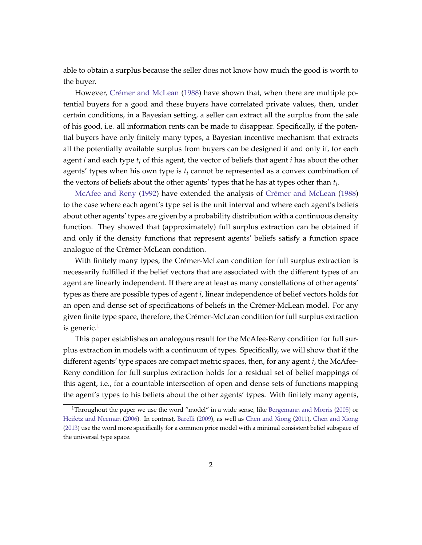able to obtain a surplus because the seller does not know how much the good is worth to the buyer.

However, Crémer and McLean [\(1988\)](#page-42-0) have shown that, when there are multiple potential buyers for a good and these buyers have correlated private values, then, under certain conditions, in a Bayesian setting, a seller can extract all the surplus from the sale of his good, i.e. all information rents can be made to disappear. Specifically, if the potential buyers have only finitely many types, a Bayesian incentive mechanism that extracts all the potentially available surplus from buyers can be designed if and only if, for each agent *i* and each type *t<sup>i</sup>* of this agent, the vector of beliefs that agent *i* has about the other agents' types when his own type is *t<sup>i</sup>* cannot be represented as a convex combination of the vectors of beliefs about the other agents' types that he has at types other than *t<sup>i</sup>* .

[McAfee and Reny](#page-43-0) [\(1992\)](#page-43-0) have extended the analysis of Crémer and McLean [\(1988\)](#page-42-0) to the case where each agent's type set is the unit interval and where each agent's beliefs about other agents' types are given by a probability distribution with a continuous density function. They showed that (approximately) full surplus extraction can be obtained if and only if the density functions that represent agents' beliefs satisfy a function space analogue of the Crémer-McLean condition.

With finitely many types, the Crémer-McLean condition for full surplus extraction is necessarily fulfilled if the belief vectors that are associated with the different types of an agent are linearly independent. If there are at least as many constellations of other agents' types as there are possible types of agent *i*, linear independence of belief vectors holds for an open and dense set of specifications of beliefs in the Crémer-McLean model. For any given finite type space, therefore, the Crémer-McLean condition for full surplus extraction is generic.<sup>[1](#page-3-0)</sup>

This paper establishes an analogous result for the McAfee-Reny condition for full surplus extraction in models with a continuum of types. Specifically, we will show that if the different agents' type spaces are compact metric spaces, then, for any agent *i*, the McAfee-Reny condition for full surplus extraction holds for a residual set of belief mappings of this agent, i.e., for a countable intersection of open and dense sets of functions mapping the agent's types to his beliefs about the other agents' types. With finitely many agents,

<span id="page-3-0"></span><sup>&</sup>lt;sup>1</sup>Throughout the paper we use the word "model" in a wide sense, like [Bergemann and Morris](#page-42-1) [\(2005\)](#page-42-1) or [Heifetz and Neeman](#page-43-1) [\(2006\)](#page-43-1). In contrast, [Barelli](#page-42-2) [\(2009\)](#page-42-2), as well as [Chen and Xiong](#page-42-3) [\(2011\)](#page-42-3), [Chen and Xiong](#page-42-4) [\(2013\)](#page-42-4) use the word more specifically for a common prior model with a minimal consistent belief subspace of the universal type space.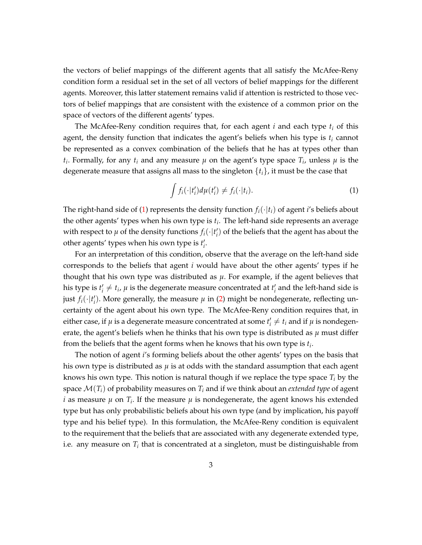the vectors of belief mappings of the different agents that all satisfy the McAfee-Reny condition form a residual set in the set of all vectors of belief mappings for the different agents. Moreover, this latter statement remains valid if attention is restricted to those vectors of belief mappings that are consistent with the existence of a common prior on the space of vectors of the different agents' types.

The McAfee-Reny condition requires that, for each agent *i* and each type *t<sup>i</sup>* of this agent, the density function that indicates the agent's beliefs when his type is *t<sup>i</sup>* cannot be represented as a convex combination of the beliefs that he has at types other than *t*<sub>*i*</sub>. Formally, for any *t*<sub>*i*</sub> and any measure  $\mu$  on the agent's type space  $T_i$ , unless  $\mu$  is the degenerate measure that assigns all mass to the singleton {*ti*}, it must be the case that

<span id="page-4-0"></span>
$$
\int f_i(\cdot|t'_i) d\mu(t'_i) \neq f_i(\cdot|t_i). \tag{1}
$$

The right-hand side of [\(1\)](#page-4-0) represents the density function  $f_i(\cdot|t_i)$  of agent *i*'s beliefs about the other agents' types when his own type is *t<sup>i</sup>* . The left-hand side represents an average with respect to  $\mu$  of the density functions  $f_i(\cdot|t'_i)$  of the beliefs that the agent has about the other agents' types when his own type is  $t'_{i}$ .

For an interpretation of this condition, observe that the average on the left-hand side corresponds to the beliefs that agent *i* would have about the other agents' types if he thought that his own type was distributed as  $\mu$ . For example, if the agent believes that his type is  $t'_i \neq t_i$ ,  $\mu$  is the degenerate measure concentrated at  $t'_i$  and the left-hand side is just  $f_i(\cdot | t_i')$ . More generally, the measure  $\mu$  in [\(2\)](#page-9-0) might be nondegenerate, reflecting uncertainty of the agent about his own type. The McAfee-Reny condition requires that, in either case, if  $\mu$  is a degenerate measure concentrated at some  $t'_{i} \neq t_{i}$  and if  $\mu$  is nondegenerate, the agent's beliefs when he thinks that his own type is distributed as  $\mu$  must differ from the beliefs that the agent forms when he knows that his own type is *t<sup>i</sup>* .

The notion of agent *i*'s forming beliefs about the other agents' types on the basis that his own type is distributed as *µ* is at odds with the standard assumption that each agent knows his own type. This notion is natural though if we replace the type space *T<sup>i</sup>* by the space  $\mathcal{M}(T_i)$  of probability measures on  $T_i$  and if we think about an *extended type* of agent *i* as measure  $\mu$  on  $T_i$ . If the measure  $\mu$  is nondegenerate, the agent knows his extended type but has only probabilistic beliefs about his own type (and by implication, his payoff type and his belief type). In this formulation, the McAfee-Reny condition is equivalent to the requirement that the beliefs that are associated with any degenerate extended type, i.e. any measure on *T<sup>i</sup>* that is concentrated at a singleton, must be distinguishable from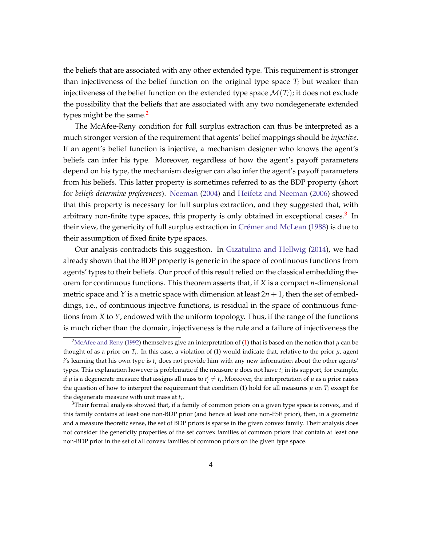the beliefs that are associated with any other extended type. This requirement is stronger than injectiveness of the belief function on the original type space  $T_i$  but weaker than injectiveness of the belief function on the extended type space  $\mathcal{M}(T_i)$ ; it does not exclude the possibility that the beliefs that are associated with any two nondegenerate extended types might be the same. $2$ 

The McAfee-Reny condition for full surplus extraction can thus be interpreted as a much stronger version of the requirement that agents' belief mappings should be *injective*. If an agent's belief function is injective, a mechanism designer who knows the agent's beliefs can infer his type. Moreover, regardless of how the agent's payoff parameters depend on his type, the mechanism designer can also infer the agent's payoff parameters from his beliefs. This latter property is sometimes referred to as the BDP property (short for *beliefs determine preferences*). [Neeman](#page-43-2) [\(2004\)](#page-43-2) and [Heifetz and Neeman](#page-43-1) [\(2006\)](#page-43-1) showed that this property is necessary for full surplus extraction, and they suggested that, with arbitrary non-finite type spaces, this property is only obtained in exceptional cases.<sup>[3](#page-5-1)</sup> In their view, the genericity of full surplus extraction in Crémer and McLean [\(1988\)](#page-42-0) is due to their assumption of fixed finite type spaces.

Our analysis contradicts this suggestion. In [Gizatulina and Hellwig](#page-43-3) [\(2014\)](#page-43-3), we had already shown that the BDP property is generic in the space of continuous functions from agents' types to their beliefs. Our proof of this result relied on the classical embedding theorem for continuous functions. This theorem asserts that, if *X* is a compact *n*-dimensional metric space and *Y* is a metric space with dimension at least  $2n + 1$ , then the set of embeddings, i.e., of continuous injective functions, is residual in the space of continuous functions from *X* to *Y*, endowed with the uniform topology. Thus, if the range of the functions is much richer than the domain, injectiveness is the rule and a failure of injectiveness the

<span id="page-5-0"></span><sup>&</sup>lt;sup>2</sup>[McAfee and Reny](#page-43-0) [\(1992\)](#page-43-0) themselves give an interpretation of [\(1\)](#page-4-0) that is based on the notion that  $\mu$  can be thought of as a prior on  $T_i$ . In this case, a violation of (1) would indicate that, relative to the prior  $\mu$ , agent *i*'s learning that his own type is *t<sup>i</sup>* does not provide him with any new information about the other agents' types. This explanation however is problematic if the measure  $\mu$  does not have  $t_i$  in its support, for example, if  $\mu$  is a degenerate measure that assigns all mass to  $t'_i\neq t_i$ . Moreover, the interpretation of  $\mu$  as a prior raises the question of how to interpret the requirement that condition (1) hold for all measures  $\mu$  on  $T_i$  except for the degenerate measure with unit mass at *t<sup>i</sup>* .

<span id="page-5-1"></span> $3$ Their formal analysis showed that, if a family of common priors on a given type space is convex, and if this family contains at least one non-BDP prior (and hence at least one non-FSE prior), then, in a geometric and a measure theoretic sense, the set of BDP priors is sparse in the given convex family. Their analysis does not consider the genericity properties of the set convex families of common priors that contain at least one non-BDP prior in the set of all convex families of common priors on the given type space.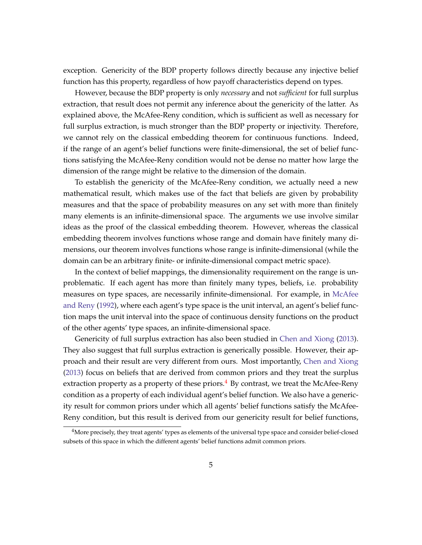exception. Genericity of the BDP property follows directly because any injective belief function has this property, regardless of how payoff characteristics depend on types.

However, because the BDP property is only *necessary* and not *sufficient* for full surplus extraction, that result does not permit any inference about the genericity of the latter. As explained above, the McAfee-Reny condition, which is sufficient as well as necessary for full surplus extraction, is much stronger than the BDP property or injectivity. Therefore, we cannot rely on the classical embedding theorem for continuous functions. Indeed, if the range of an agent's belief functions were finite-dimensional, the set of belief functions satisfying the McAfee-Reny condition would not be dense no matter how large the dimension of the range might be relative to the dimension of the domain.

To establish the genericity of the McAfee-Reny condition, we actually need a new mathematical result, which makes use of the fact that beliefs are given by probability measures and that the space of probability measures on any set with more than finitely many elements is an infinite-dimensional space. The arguments we use involve similar ideas as the proof of the classical embedding theorem. However, whereas the classical embedding theorem involves functions whose range and domain have finitely many dimensions, our theorem involves functions whose range is infinite-dimensional (while the domain can be an arbitrary finite- or infinite-dimensional compact metric space).

In the context of belief mappings, the dimensionality requirement on the range is unproblematic. If each agent has more than finitely many types, beliefs, i.e. probability measures on type spaces, are necessarily infinite-dimensional. For example, in [McAfee](#page-43-0) [and Reny](#page-43-0) [\(1992\)](#page-43-0), where each agent's type space is the unit interval, an agent's belief function maps the unit interval into the space of continuous density functions on the product of the other agents' type spaces, an infinite-dimensional space.

Genericity of full surplus extraction has also been studied in [Chen and Xiong](#page-42-4) [\(2013\)](#page-42-4). They also suggest that full surplus extraction is generically possible. However, their approach and their result are very different from ours. Most importantly, [Chen and Xiong](#page-42-4) [\(2013\)](#page-42-4) focus on beliefs that are derived from common priors and they treat the surplus extraction property as a property of these priors. $4$  By contrast, we treat the McAfee-Reny condition as a property of each individual agent's belief function. We also have a genericity result for common priors under which all agents' belief functions satisfy the McAfee-Reny condition, but this result is derived from our genericity result for belief functions,

<span id="page-6-0"></span> $4$ More precisely, they treat agents' types as elements of the universal type space and consider belief-closed subsets of this space in which the different agents' belief functions admit common priors.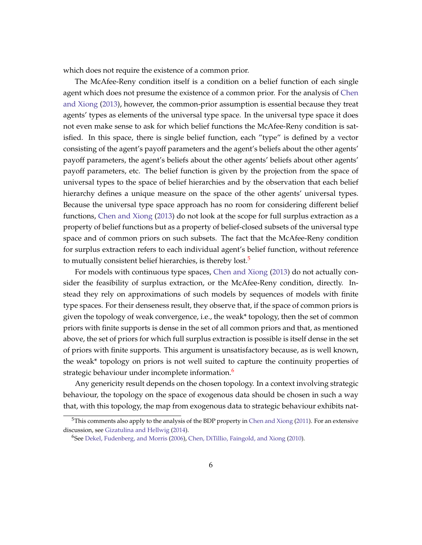which does not require the existence of a common prior.

The McAfee-Reny condition itself is a condition on a belief function of each single agent which does not presume the existence of a common prior. For the analysis of [Chen](#page-42-4) [and Xiong](#page-42-4) [\(2013\)](#page-42-4), however, the common-prior assumption is essential because they treat agents' types as elements of the universal type space. In the universal type space it does not even make sense to ask for which belief functions the McAfee-Reny condition is satisfied. In this space, there is single belief function, each "type" is defined by a vector consisting of the agent's payoff parameters and the agent's beliefs about the other agents' payoff parameters, the agent's beliefs about the other agents' beliefs about other agents' payoff parameters, etc. The belief function is given by the projection from the space of universal types to the space of belief hierarchies and by the observation that each belief hierarchy defines a unique measure on the space of the other agents' universal types. Because the universal type space approach has no room for considering different belief functions, [Chen and Xiong](#page-42-4) [\(2013\)](#page-42-4) do not look at the scope for full surplus extraction as a property of belief functions but as a property of belief-closed subsets of the universal type space and of common priors on such subsets. The fact that the McAfee-Reny condition for surplus extraction refers to each individual agent's belief function, without reference to mutually consistent belief hierarchies, is thereby lost.<sup>[5](#page-7-0)</sup>

For models with continuous type spaces, [Chen and Xiong](#page-42-4) [\(2013\)](#page-42-4) do not actually consider the feasibility of surplus extraction, or the McAfee-Reny condition, directly. Instead they rely on approximations of such models by sequences of models with finite type spaces. For their denseness result, they observe that, if the space of common priors is given the topology of weak convergence, i.e., the weak\* topology, then the set of common priors with finite supports is dense in the set of all common priors and that, as mentioned above, the set of priors for which full surplus extraction is possible is itself dense in the set of priors with finite supports. This argument is unsatisfactory because, as is well known, the weak\* topology on priors is not well suited to capture the continuity properties of strategic behaviour under incomplete information.<sup>[6](#page-7-1)</sup>

Any genericity result depends on the chosen topology. In a context involving strategic behaviour, the topology on the space of exogenous data should be chosen in such a way that, with this topology, the map from exogenous data to strategic behaviour exhibits nat-

<span id="page-7-0"></span> $5$ This comments also apply to the analysis of the BDP property in [Chen and Xiong](#page-42-3) [\(2011\)](#page-42-3). For an extensive discussion, see [Gizatulina and Hellwig](#page-43-3) [\(2014\)](#page-43-3).

<span id="page-7-1"></span><sup>6</sup>See [Dekel, Fudenberg, and Morris](#page-42-5) [\(2006\)](#page-42-5), [Chen, DiTillio, Faingold, and Xiong](#page-42-6) [\(2010\)](#page-42-6).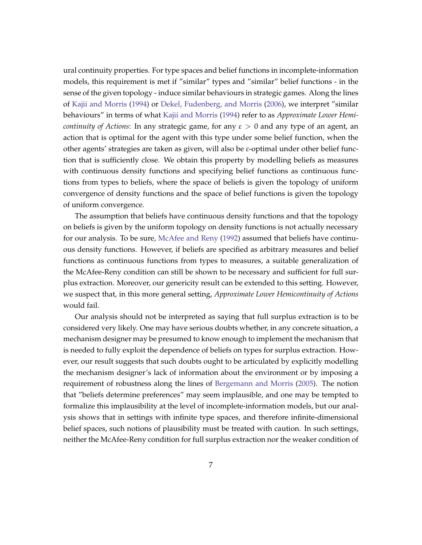ural continuity properties. For type spaces and belief functions in incomplete-information models, this requirement is met if "similar" types and "similar" belief functions - in the sense of the given topology - induce similar behaviours in strategic games. Along the lines of [Kajii and Morris](#page-43-4) [\(1994\)](#page-43-4) or [Dekel, Fudenberg, and Morris](#page-42-5) [\(2006\)](#page-42-5), we interpret "similar behaviours" in terms of what [Kajii and Morris](#page-43-4) [\(1994\)](#page-43-4) refer to as *Approximate Lower Hemicontinuity of Actions*: In any strategic game, for any *ε* > 0 and any type of an agent, an action that is optimal for the agent with this type under some belief function, when the other agents' strategies are taken as given, will also be *ε*-optimal under other belief function that is sufficiently close. We obtain this property by modelling beliefs as measures with continuous density functions and specifying belief functions as continuous functions from types to beliefs, where the space of beliefs is given the topology of uniform convergence of density functions and the space of belief functions is given the topology of uniform convergence.

The assumption that beliefs have continuous density functions and that the topology on beliefs is given by the uniform topology on density functions is not actually necessary for our analysis. To be sure, [McAfee and Reny](#page-43-0) [\(1992\)](#page-43-0) assumed that beliefs have continuous density functions. However, if beliefs are specified as arbitrary measures and belief functions as continuous functions from types to measures, a suitable generalization of the McAfee-Reny condition can still be shown to be necessary and sufficient for full surplus extraction. Moreover, our genericity result can be extended to this setting. However, we suspect that, in this more general setting, *Approximate Lower Hemicontinuity of Actions* would fail.

Our analysis should not be interpreted as saying that full surplus extraction is to be considered very likely. One may have serious doubts whether, in any concrete situation, a mechanism designer may be presumed to know enough to implement the mechanism that is needed to fully exploit the dependence of beliefs on types for surplus extraction. However, our result suggests that such doubts ought to be articulated by explicitly modelling the mechanism designer's lack of information about the environment or by imposing a requirement of robustness along the lines of [Bergemann and Morris](#page-42-1) [\(2005\)](#page-42-1). The notion that "beliefs determine preferences" may seem implausible, and one may be tempted to formalize this implausibility at the level of incomplete-information models, but our analysis shows that in settings with infinite type spaces, and therefore infinite-dimensional belief spaces, such notions of plausibility must be treated with caution. In such settings, neither the McAfee-Reny condition for full surplus extraction nor the weaker condition of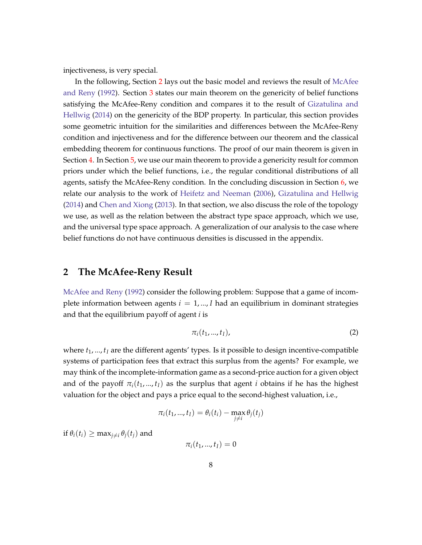injectiveness, is very special.

In the following, Section [2](#page-9-1) lays out the basic model and reviews the result of [McAfee](#page-43-0) [and Reny](#page-43-0) [\(1992\)](#page-43-0). Section [3](#page-12-0) states our main theorem on the genericity of belief functions satisfying the McAfee-Reny condition and compares it to the result of [Gizatulina and](#page-43-3) [Hellwig](#page-43-3) [\(2014\)](#page-43-3) on the genericity of the BDP property. In particular, this section provides some geometric intuition for the similarities and differences between the McAfee-Reny condition and injectiveness and for the difference between our theorem and the classical embedding theorem for continuous functions. The proof of our main theorem is given in Section [4.](#page-18-0) In Section [5,](#page-22-0) we use our main theorem to provide a genericity result for common priors under which the belief functions, i.e., the regular conditional distributions of all agents, satisfy the McAfee-Reny condition. In the concluding discussion in Section [6,](#page-26-0) we relate our analysis to the work of [Heifetz and Neeman](#page-43-1) [\(2006\)](#page-43-1), [Gizatulina and Hellwig](#page-43-3) [\(2014\)](#page-43-3) and [Chen and Xiong](#page-42-4) [\(2013\)](#page-42-4). In that section, we also discuss the role of the topology we use, as well as the relation between the abstract type space approach, which we use, and the universal type space approach. A generalization of our analysis to the case where belief functions do not have continuous densities is discussed in the appendix.

## <span id="page-9-1"></span>**2 The McAfee-Reny Result**

[McAfee and Reny](#page-43-0) [\(1992\)](#page-43-0) consider the following problem: Suppose that a game of incomplete information between agents  $i = 1, ..., I$  had an equilibrium in dominant strategies and that the equilibrium payoff of agent *i* is

<span id="page-9-0"></span>
$$
\pi_i(t_1,...,t_I),\tag{2}
$$

where  $t_1, \ldots, t_l$  are the different agents' types. Is it possible to design incentive-compatible systems of participation fees that extract this surplus from the agents? For example, we may think of the incomplete-information game as a second-price auction for a given object and of the payoff  $\pi_i(t_1,...,t_l)$  as the surplus that agent *i* obtains if he has the highest valuation for the object and pays a price equal to the second-highest valuation, i.e.,

$$
\pi_i(t_1,...,t_I) = \theta_i(t_i) - \max_{j \neq i} \theta_j(t_j)
$$

 $\inf \theta_i(t_i) \geq \max_{i \neq i} \theta_i(t_i)$  and

 $\pi_i(t_1, ..., t_I) = 0$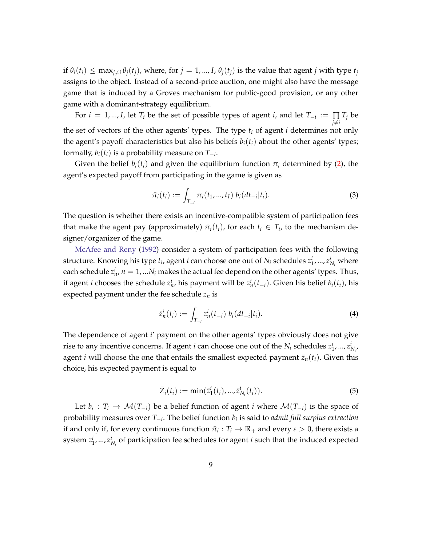if  $\theta_i(t_i) \leq \max_{j \neq i} \theta_j(t_j)$ , where, for  $j = 1, ..., I$ ,  $\theta_j(t_j)$  is the value that agent j with type  $t_j$ assigns to the object. Instead of a second-price auction, one might also have the message game that is induced by a Groves mechanism for public-good provision, or any other game with a dominant-strategy equilibrium.

For  $i = 1, ..., I$ , let  $T_i$  be the set of possible types of agent  $i$ , and let  $T_{-i} := \prod$  $\prod_{j\neq i}T_j$  be the set of vectors of the other agents' types. The type  $t_i$  of agent  $i$  determines not only the agent's payoff characteristics but also his beliefs  $b_i(t_i)$  about the other agents' types; formally,  $b_i(t_i)$  is a probability measure on  $T_{-i}$ .

Given the belief  $b_i(t_i)$  and given the equilibrium function  $\pi_i$  determined by [\(2\)](#page-9-0), the agent's expected payoff from participating in the game is given as

$$
\bar{\pi}_i(t_i) := \int_{T_{-i}} \pi_i(t_1, ..., t_I) \ b_i(dt_{-i}|t_i).
$$
\n(3)

The question is whether there exists an incentive-compatible system of participation fees that make the agent pay (approximately)  $\bar{\pi}_i(t_i)$ , for each  $t_i \in T_i$ , to the mechanism designer/organizer of the game.

[McAfee and Reny](#page-43-0) [\(1992\)](#page-43-0) consider a system of participation fees with the following structure. Knowing his type  $t_i$ , agent *i* can choose one out of  $N_i$  schedules  $z_1^i$ , ...,  $z_{N_i}^i$  where each schedule  $z_n^i$ ,  $n=1,...N_i$  makes the actual fee depend on the other agents' types. Thus, if agent *i* chooses the schedule  $z_n^i$ , his payment will be  $z_n^i(t_{-i})$ . Given his belief  $b_i(t_i)$ , his expected payment under the fee schedule *z<sup>n</sup>* is

<span id="page-10-0"></span>
$$
\bar{z}_n^i(t_i) := \int_{T_{-i}} z_n^i(t_{-i}) b_i(dt_{-i}|t_i).
$$
\n(4)

The dependence of agent *i*' payment on the other agents' types obviously does not give rise to any incentive concerns. If agent *i* can choose one out of the  $N_i$  schedules  $z_1^i, ..., z_{N_i}^i$ agent *i* will choose the one that entails the smallest expected payment  $\bar{z}_n(t_i)$ . Given this choice, his expected payment is equal to

<span id="page-10-1"></span>
$$
\bar{Z}_i(t_i) := \min(\bar{z}_1^i(t_i), ..., \bar{z}_{N_i}^i(t_i)).
$$
\n(5)

Let  $b_i: T_i \to \mathcal{M}(T_{-i})$  be a belief function of agent *i* where  $\mathcal{M}(T_{-i})$  is the space of probability measures over *T*−*<sup>i</sup>* . The belief function *b<sup>i</sup>* is said to *admit full surplus extraction* if and only if, for every continuous function  $\bar{\pi}_i: T_i \to \mathbb{R}_+$  and every  $\varepsilon > 0$ , there exists a system  $z_1^i$ , ...,  $z_{N_i}^i$  of participation fee schedules for agent *i* such that the induced expected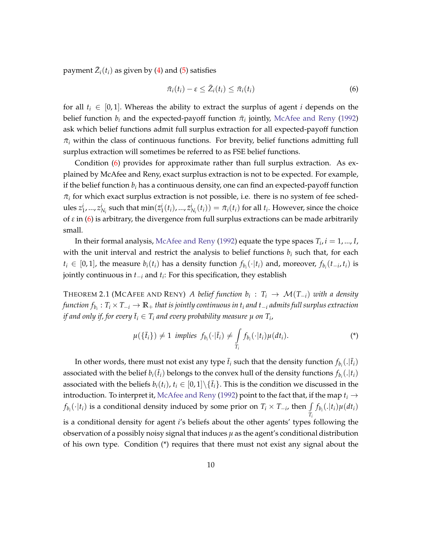payment  $\bar{Z}_i(t_i)$  as given by [\(4\)](#page-10-0) and [\(5\)](#page-10-1) satisfies

<span id="page-11-0"></span>
$$
\bar{\pi}_i(t_i) - \varepsilon \leq \bar{Z}_i(t_i) \leq \bar{\pi}_i(t_i) \tag{6}
$$

for all  $t_i \in [0,1]$ . Whereas the ability to extract the surplus of agent *i* depends on the belief function  $b_i$  and the expected-payoff function  $\bar{\pi}_i$  jointly, [McAfee and Reny](#page-43-0) [\(1992\)](#page-43-0) ask which belief functions admit full surplus extraction for all expected-payoff function  $\bar{\pi}_i$  within the class of continuous functions. For brevity, belief functions admitting full surplus extraction will sometimes be referred to as FSE belief functions.

Condition [\(6\)](#page-11-0) provides for approximate rather than full surplus extraction. As explained by McAfee and Reny, exact surplus extraction is not to be expected. For example, if the belief function  $b_i$  has a continuous density, one can find an expected-payoff function  $\bar{\pi}_i$  for which exact surplus extraction is not possible, i.e. there is no system of fee schedules  $z_1^i,...,z_{N_i}^i$  such that  $\min(\bar{z}_1^i(t_i),..., \bar{z}_{N_i}^i(t_i)) = \bar{\pi}_i(t_i)$  for all  $t_i$ . However, since the choice of  $\varepsilon$  in  $(6)$  is arbitrary, the divergence from full surplus extractions can be made arbitrarily small.

In their formal analysis, [McAfee and Reny](#page-43-0) [\(1992\)](#page-43-0) equate the type spaces  $T_i$ ,  $i = 1, ..., I$ , with the unit interval and restrict the analysis to belief functions  $b_i$  such that, for each *t*<sub>*i*</sub> ∈ [0, 1], the measure *b*<sub>*i*</sub>(*t*<sub>*i*</sub>) has a density function  $f_{b_i}(\cdot|t_i)$  and, moreover,  $f_{b_i}(t_{-i}, t_i)$  is jointly continuous in *t*−*<sup>i</sup>* and *t<sup>i</sup>* : For this specification, they establish

<span id="page-11-1"></span>THEOREM 2.1 (MCAFEE AND RENY) *A belief function*  $b_i$  :  $T_i \rightarrow \mathcal{M}(T_{-i})$  with a density *function fb<sup>i</sup>* : *T<sup>i</sup>* × *T*−*<sup>i</sup>* → **R**<sup>+</sup> *that is jointly continuous in t<sup>i</sup> and t*−*<sup>i</sup> admits full surplus extraction*  $i$ f and only if, for every  $\bar{t}_i \in T_i$  and every probability measure  $\mu$  on  $T_i$ ,

$$
\mu(\lbrace \bar{t}_i \rbrace) \neq 1 \text{ implies } f_{b_i}(\cdot | \bar{t}_i) \neq \int_{T_i} f_{b_i}(\cdot | t_i) \mu(dt_i). \tag{*}
$$

In other words, there must not exist any type  $\bar{t}_i$  such that the density function  $f_{b_i}(.|\bar{t}_i)$ associated with the belief  $b_i(\bar{t}_i)$  belongs to the convex hull of the density functions  $f_{b_i}(.|t_i)$ associated with the beliefs  $b_i(t_i)$ ,  $t_i \in [0,1] \setminus \{t_i\}$ . This is the condition we discussed in the introduction. To interpret it, [McAfee and Reny](#page-43-0) [\(1992\)](#page-43-0) point to the fact that, if the map  $t_i \rightarrow$ *f*<sub>*b<sub>i</sub>*</sub>( $\cdot$ |*t*<sub>*i*</sub>)</sub> is a conditional density induced by some prior on *T*<sub>*i*</sub> × *T*−*i*, then  $\int f_{b_i}(\cdot|t_i) \mu(dt_i)$ *Ti* is a conditional density for agent *i*'s beliefs about the other agents' types following the observation of a possibly noisy signal that induces  $\mu$  as the agent's conditional distribution of his own type. Condition (\*) requires that there must not exist any signal about the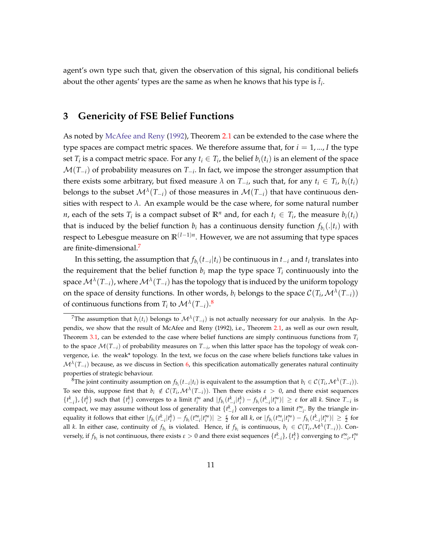agent's own type such that, given the observation of this signal, his conditional beliefs about the other agents' types are the same as when he knows that his type is  $\bar{t}_i$ .

## <span id="page-12-0"></span>**3 Genericity of FSE Belief Functions**

As noted by [McAfee and Reny](#page-43-0) [\(1992\)](#page-43-0), Theorem [2.1](#page-11-1) can be extended to the case where the type spaces are compact metric spaces. We therefore assume that, for  $i = 1, \dots, I$  the type set  $T_i$  is a compact metric space. For any  $t_i \in T_i$ , the belief  $b_i(t_i)$  is an element of the space  $\mathcal{M}(T_{-i})$  of probability measures on  $T_{-i}$ . In fact, we impose the stronger assumption that there exists some arbitrary, but fixed measure  $\lambda$  on  $T_{-i}$ , such that, for any  $t_i \in T_i$ ,  $b_i(t_i)$ belongs to the subset  $\mathcal{M}^{\lambda}(T_{-i})$  of those measures in  $\mathcal{M}(T_{-i})$  that have continuous densities with respect to  $\lambda$ . An example would be the case where, for some natural number *n*, each of the sets  $T_i$  is a compact subset of  $\mathbb{R}^n$  and, for each  $t_i \in T_i$ , the measure  $b_i(t_i)$ that is induced by the belief function  $b_i$  has a continuous density function  $f_{b_i}(.|t_i)$  with respect to Lebesgue measure on **R**(*I*−1)*<sup>n</sup>* . However, we are not assuming that type spaces are finite-dimensional.[7](#page-12-1)

In this setting, the assumption that  $f_{b_i}(t_{-i}|t_i)$  be continuous in  $t_{-i}$  and  $t_i$  translates into the requirement that the belief function  $b_i$  map the type space  $T_i$  continuously into the space  $\mathcal{M}^\lambda(T_{-i})$ , where  $\mathcal{M}^\lambda(T_{-i})$  has the topology that is induced by the uniform topology on the space of density functions. In other words,  $b_i$  belongs to the space  $\mathcal{C}(T_i,\mathcal{M}^{\lambda}(T_{-i}))$ of continuous functions from  $T_i$  to  $\mathcal{M}^{\lambda}(T_{-i})$ .<sup>[8](#page-12-2)</sup>

<span id="page-12-1"></span><sup>&</sup>lt;sup>7</sup>The assumption that  $b_i(t_i)$  belongs to  $\mathcal{M}^{\lambda}(T_{-i})$  is not actually necessary for our analysis. In the Appendix, we show that the result of McAfee and Reny (1992), i.e., Theorem [2.1,](#page-11-1) as well as our own result, Theorem [3.1,](#page-13-0) can be extended to the case where belief functions are simply continuous functions from *T<sup>i</sup>* to the space M(*T*−*<sup>i</sup>* ) of probability measures on *T*−*<sup>i</sup>* , when this latter space has the topology of weak convergence, i.e. the weak\* topology. In the text, we focus on the case where beliefs functions take values in  $\mathcal{M}^{\lambda}(T_{-i})$  because, as we discuss in Section [6,](#page-26-0) this specification automatically generates natural continuity properties of strategic behaviour.

<span id="page-12-2"></span><sup>&</sup>lt;sup>8</sup>The joint continuity assumption on  $f_{b_i}(t_{-i}|t_i)$  is equivalent to the assumption that  $b_i \in C(T_i, \mathcal{M}^{\lambda}(T_{-i}))$ . To see this, suppose first that  $b_i \notin C(T_i, \mathcal{M}^{\lambda}(T_{-i}))$ . Then there exists  $\varepsilon > 0$ , and there exist sequences  $\{t_{-i}^k\}, \{t_i^k\}$  such that  $\{t_i^k\}$  converges to a limit  $t_i^{\infty}$  and  $|f_{b_i}(t_{-i}^k|t_i^k) - f_{b_i}(t_{-i}^k|t_i^{\infty})| \geq \varepsilon$  for all k. Since  $T_{-i}$  is compact, we may assume without loss of generality that  $\{t_{-i}^k\}$  converges to a limit  $t_{-i}^{\infty}$ . By the triangle inequality it follows that either  $|f_{b_i}(t_{-i}^k|t_i^k) - f_{b_i}(t_{-i}^\infty|t_i^\infty)| \geq \frac{\varepsilon}{2}$  for all  $k$ , or  $|f_{b_i}(t_{-i}^\infty|t_i^\infty) - f_{b_i}(t_{-i}^k|t_i^\infty)| \geq \frac{\varepsilon}{2}$  for all *k*. In either case, continuity of  $f_{b_i}$  is violated. Hence, if  $f_{b_i}$  is continuous,  $b_i \in C(T_i, \mathcal{M}^{\lambda}(T_{-i}))$ . Conversely, if  $f_{b_i}$  is not continuous, there exists  $\varepsilon > 0$  and there exist sequences  $\{t_{-i}^k\}$ ,  $\{t_i^k\}$  converging to  $t_{-i'}^{\infty}$ ,  $t_i^{\infty}$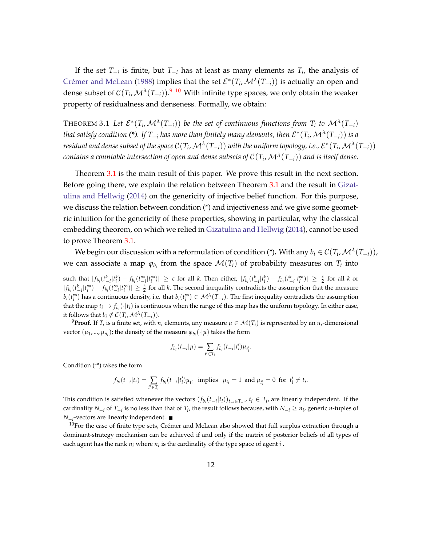If the set *T*−*<sup>i</sup>* is finite, but *T*−*<sup>i</sup>* has at least as many elements as *T<sup>i</sup>* , the analysis of Crémer and McLean [\(1988\)](#page-42-0) implies that the set  $\mathcal{E}^*(T_i,\mathcal{M}^{\lambda}(T_{-i}))$  is actually an open and dense subset of  $C(T_i, \mathcal{M}^{\lambda}(T_{-i}))$ .<sup>[9](#page-13-1)</sup> [10](#page-13-2) With infinite type spaces, we only obtain the weaker property of residualness and denseness. Formally, we obtain:

<span id="page-13-0"></span>THEOREM 3.1 Let  $\mathcal{E}^*(T_i, \mathcal{M}^{\lambda}(T_{-i}))$  be the set of continuous functions from  $T_i$  to  $\mathcal{M}^{\lambda}(T_{-i})$  $t$  *that satisfy condition (\*). If*  $T_{-i}$  *has more than finitely many elements, then*  $\mathcal{E}^*(T_i,\mathcal{M}^{\lambda}(T_{-i}))$  *is a* residual and dense subset of the space  $\mathcal{C}(T_i,\mathcal{M}^\lambda(T_{-i}))$  with the uniform topology, i.e.,  $\mathcal{E}^*(T_i,\mathcal{M}^\lambda(T_{-i}))$ *contains a countable intersection of open and dense subsets of* C(*T<sup>i</sup>* ,M*<sup>λ</sup>* (*T*−*i*)) *and is itself dense*.

Theorem [3.1](#page-13-0) is the main result of this paper. We prove this result in the next section. Before going there, we explain the relation between Theorem [3.1](#page-13-0) and the result in [Gizat](#page-43-3)[ulina and Hellwig](#page-43-3) [\(2014\)](#page-43-3) on the genericity of injective belief function. For this purpose, we discuss the relation between condition (\*) and injectiveness and we give some geometric intuition for the genericity of these properties, showing in particular, why the classical embedding theorem, on which we relied in [Gizatulina and Hellwig](#page-43-3) [\(2014\)](#page-43-3), cannot be used to prove Theorem [3.1.](#page-13-0)

We begin our discussion with a reformulation of condition (\*). With any  $b_i\in\mathcal{C}(T_i,\mathcal{M}^{\lambda}(T_{-i})),$ we can associate a map  $\varphi_{b_i}$  from the space  $\mathcal{M}(T_i)$  of probability measures on  $T_i$  into

such that  $|f_{b_i}(t_{-i}^k|t_i^k) - f_{b_i}(t_{-i}^{\infty}|t_i^{\infty})| \geq \varepsilon$  for all k. Then either,  $|f_{b_i}(t_{-i}^k|t_i^k) - f_{b_i}(t_{-i}^k|t_i^{\infty})| \geq \frac{\varepsilon}{2}$  for all k or  $|f_{b_i}(t_{-i}^k|t_i^{\infty}) - f_{b_i}(t_{-i}^{\infty}|t_i^{\infty})| \geq \frac{\varepsilon}{2}$  for all k. The second inequality contradicts the assumption that the measure  $b_i(t_i^{\infty})$  has a continuous density, i.e. that  $b_i(t_i^{\infty}) \in \mathcal{M}^{\lambda}(T_{-i})$ . The first inequality contradicts the assumption that the map  $t_i \to f_{b_i}(\cdot|t_i)$  is continuous when the range of this map has the uniform topology. In either case, it follows that  $b_i \notin C(T_i, \mathcal{M}^{\lambda}(T_{-i})).$ 

<span id="page-13-1"></span> $^9$ **Proof.** If  $T_i$  is a finite set, with  $n_i$  elements, any measure  $\mu \in \mathcal{M}(T_i)$  is represented by an  $n_i$ -dimensional vector  $(\mu_1, ..., \mu_{n_i})$ ; the density of the measure  $\varphi_{b_i}(\cdot | \mu)$  takes the form

$$
f_{b_i}(t_{-i}|\mu) = \sum_{i' \in T_i} f_{b_i}(t_{-i}|t'_i) \mu_{t'_i}.
$$

Condition (\*\*) takes the form

$$
f_{b_i}(t_{-i}|t_i) = \sum_{i' \in T_i} f_{b_i}(t_{-i}|t'_i) \mu_{t'_i} \text{ implies } \mu_{t_i} = 1 \text{ and } \mu_{t'_i} = 0 \text{ for } t'_i \neq t_i.
$$

This condition is satisfied whenever the vectors  $(f_{b_i}(t_{-i}|t_i))_{t_{-i}\in T_{-i}}, t_i \in T_i$ , are linearly independent. If the cardinality  $N_{-i}$  of  $T_{-i}$  is no less than that of  $T_i$ , the result follows because, with  $N_{-i} \geq n_i$ , generic *n*-tuples of *N*−*<sup>i</sup>* -vectors are linearly independent.

<span id="page-13-2"></span> $10$ For the case of finite type sets, Crémer and McLean also showed that full surplus extraction through a dominant-strategy mechanism can be achieved if and only if the matrix of posterior beliefs of all types of each agent has the rank  $n_i$  where  $n_i$  is the cardinality of the type space of agent  $i$  .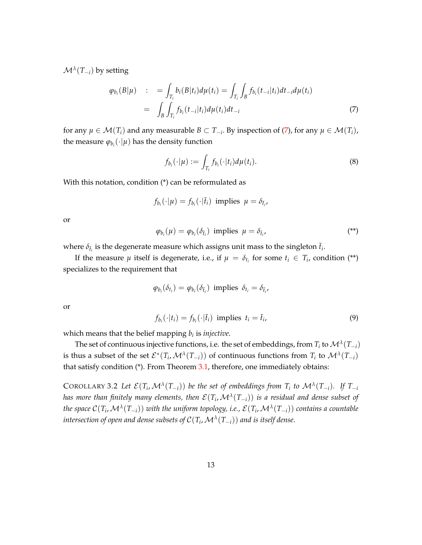M*λ* (*T*−*i*) by setting

<span id="page-14-0"></span>
$$
\varphi_{b_i}(B|\mu) \quad : \quad = \int_{T_i} b_i(B|t_i) d\mu(t_i) = \int_{T_i} \int_B f_{b_i}(t_{-i}|t_i) dt_{-i} d\mu(t_i) \n= \quad \int_B \int_{T_i} f_{b_i}(t_{-i}|t_i) d\mu(t_i) dt_{-i}
$$
\n(7)

for any  $\mu \in \mathcal{M}(T_i)$  and any measurable  $B \subset T_{-i}$ . By inspection of [\(7\)](#page-14-0), for any  $\mu \in \mathcal{M}(T_i)$ , the measure  $\varphi_{b_i}(\cdot|\mu)$  has the density function

<span id="page-14-3"></span>
$$
f_{b_i}(\cdot|\mu) := \int_{T_i} f_{b_i}(\cdot|t_i) d\mu(t_i). \tag{8}
$$

With this notation, condition (\*) can be reformulated as

$$
f_{b_i}(\cdot | \mu) = f_{b_i}(\cdot | \bar{t}_i) \text{ implies } \mu = \delta_{\bar{t}_i},
$$

or

<span id="page-14-2"></span>
$$
\varphi_{b_i}(\mu) = \varphi_{b_i}(\delta_{\bar{t}_i}) \text{ implies } \mu = \delta_{\bar{t}_i}, \tag{**}
$$

where  $\delta_{\bar{t}_i}$  is the degenerate measure which assigns unit mass to the singleton  $\bar{t}_i$ .

If the measure  $\mu$  itself is degenerate, i.e., if  $\mu = \delta_{t_i}$  for some  $t_i \in T_i$ , condition (\*\*) specializes to the requirement that

$$
\varphi_{b_i}(\delta_{t_i}) = \varphi_{b_i}(\delta_{\bar{t}_i})
$$
 implies  $\delta_{t_i} = \delta_{\bar{t}_i}$ ,

or

$$
f_{b_i}(\cdot|t_i) = f_{b_i}(\cdot|\bar{t}_i) \text{ implies } t_i = \bar{t}_i,
$$
\n
$$
(9)
$$

which means that the belief mapping *b<sup>i</sup>* is *injective*.

The set of continuous injective functions, i.e. the set of embeddings, from  $T_i$  to  $\mathcal{M}^\lambda(T_{-i})$ is thus a subset of the set  $\mathcal{E}^*(T_i,\mathcal{M}^{\lambda}(T_{-i}))$  of continuous functions from  $T_i$  to  $\mathcal{M}^{\lambda}(T_{-i})$ that satisfy condition  $(*)$ . From Theorem [3.1,](#page-13-0) therefore, one immediately obtains:

<span id="page-14-1"></span>COROLLARY 3.2 Let  $\mathcal{E}(T_i,\mathcal{M}^{\lambda}(T_{-i}))$  be the set of embeddings from  $T_i$  to  $\mathcal{M}^{\lambda}(T_{-i})$ . If  $T_{-i}$ *has more than finitely many elements, then*  $\mathcal{E}(T_i,\mathcal{M}^{\lambda}(T_{-i}))$  *is a residual and dense subset of the space* C(*T<sup>i</sup>* ,M*<sup>λ</sup>* (*T*−*i*)) *with the uniform topology, i.e.,* E(*T<sup>i</sup>* ,M*<sup>λ</sup>* (*T*−*i*)) *contains a countable intersection of open and dense subsets of* C(*T<sup>i</sup>* ,M*<sup>λ</sup>* (*T*−*i*)) *and is itself dense*.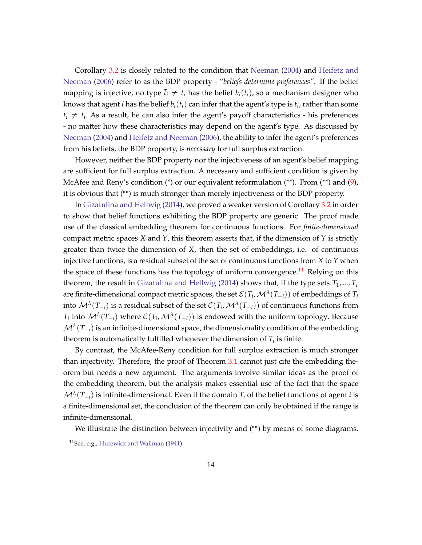Corollary [3.2](#page-14-1) is closely related to the condition that [Neeman](#page-43-2) [\(2004\)](#page-43-2) and [Heifetz and](#page-43-1) [Neeman](#page-43-1) [\(2006\)](#page-43-1) refer to as the BDP property - "*beliefs determine preferences"*. If the belief mapping is injective, no type  $\bar{t}_i \neq t_i$  has the belief  $b_i(t_i)$ , so a mechanism designer who knows that agent *i* has the belief  $b_i(t_i)$  can infer that the agent's type is  $t_i$ , rather than some  $\bar{t}_i \neq t_i$ . As a result, he can also infer the agent's payoff characteristics - his preferences - no matter how these characteristics may depend on the agent's type. As discussed by [Neeman](#page-43-2) [\(2004\)](#page-43-2) and [Heifetz and Neeman](#page-43-1) [\(2006\)](#page-43-1), the ability to infer the agent's preferences from his beliefs, the BDP property, is *necessary* for full surplus extraction.

However, neither the BDP property nor the injectiveness of an agent's belief mapping are sufficient for full surplus extraction. A necessary and sufficient condition is given by McAfee and Reny's condition  $(*)$  or our equivalent reformulation  $(**)$ . From  $(**)$  and  $(9)$ , it is obvious that (\*\*) is much stronger than merely injectiveness or the BDP property.

In [Gizatulina and Hellwig](#page-43-3) [\(2014\)](#page-43-3), we proved a weaker version of Corollary [3.2](#page-14-1) in order to show that belief functions exhibiting the BDP property are generic. The proof made use of the classical embedding theorem for continuous functions. For *finite-dimensional* compact metric spaces *X* and *Y*, this theorem asserts that, if the dimension of *Y* is strictly greater than twice the dimension of *X*, then the set of embeddings, i.e. of continuous injective functions, is a residual subset of the set of continuous functions from *X* to *Y* when the space of these functions has the topology of uniform convergence.<sup>[11](#page-15-0)</sup> Relying on this theorem, the result in [Gizatulina and Hellwig](#page-43-3) [\(2014\)](#page-43-3) shows that, if the type sets  $T_1$ , ...,  $T_I$ are finite-dimensional compact metric spaces, the set  $\mathcal{E}(T_i,\mathcal{M}^{\lambda}(T_{-i}))$  of embeddings of  $T_i$ into  $\mathcal{M}^\lambda(T_{-i})$  is a residual subset of the set  $\mathcal{C}(T_i,\mathcal{M}^\lambda(T_{-i}))$  of continuous functions from  $T_i$  into  $\mathcal{M}^\lambda(T_{-i})$  where  $\mathcal{C}(T_i,\mathcal{M}^\lambda(T_{-i}))$  is endowed with the uniform topology. Because  $\mathcal{M}^{\lambda}(T_{-i})$  is an infinite-dimensional space*,* the dimensionality condition of the embedding theorem is automatically fulfilled whenever the dimension of  $T_i$  is finite.

By contrast, the McAfee-Reny condition for full surplus extraction is much stronger than injectivity. Therefore, the proof of Theorem [3.1](#page-13-0) cannot just cite the embedding theorem but needs a new argument. The arguments involve similar ideas as the proof of the embedding theorem, but the analysis makes essential use of the fact that the space  $\mathcal{M}^{\lambda}(T_{-i})$  is infinite-dimensional. Even if the domain  $T_i$  of the belief functions of agent *i* is a finite-dimensional set, the conclusion of the theorem can only be obtained if the range is infinite-dimensional.

We illustrate the distinction between injectivity and  $(**)$  by means of some diagrams.

<span id="page-15-0"></span><sup>11</sup>See, e.g., [Hurewicz and Wallman](#page-43-5) [\(1941\)](#page-43-5)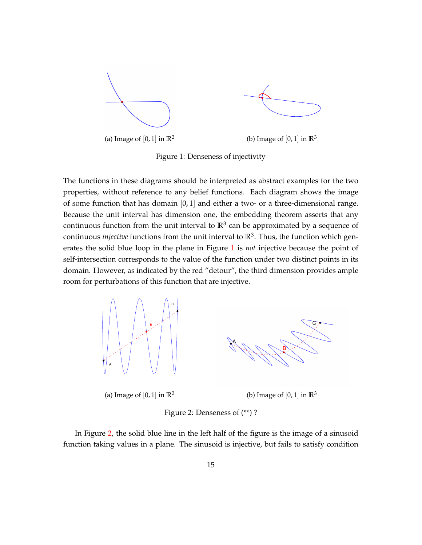<span id="page-16-0"></span>

Figure 1: Denseness of injectivity

The functions in these diagrams should be interpreted as abstract examples for the two properties, without reference to any belief functions. Each diagram shows the image of some function that has domain  $[0, 1]$  and either a two- or a three-dimensional range. Because the unit interval has dimension one, the embedding theorem asserts that any continuous function from the unit interval to  $\mathbb{R}^3$  can be approximated by a sequence of continuous *injective* functions from the unit interval to **R**<sup>3</sup> . Thus, the function which generates the solid blue loop in the plane in Figure [1](#page-16-0) is *not* injective because the point of self-intersection corresponds to the value of the function under two distinct points in its domain. However, as indicated by the red "detour", the third dimension provides ample room for perturbations of this function that are injective.

<span id="page-16-1"></span>

Figure 2: Denseness of (\*\*) ?

In Figure [2,](#page-16-1) the solid blue line in the left half of the figure is the image of a sinusoid function taking values in a plane. The sinusoid is injective, but fails to satisfy condition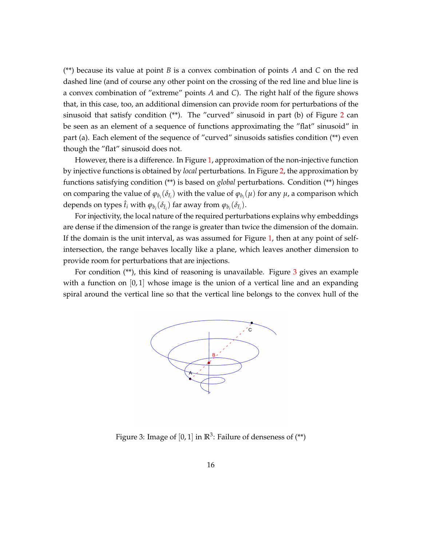(\*\*) because its value at point *B* is a convex combination of points *A* and *C* on the red dashed line (and of course any other point on the crossing of the red line and blue line is a convex combination of "extreme" points *A* and *C*). The right half of the figure shows that, in this case, too, an additional dimension can provide room for perturbations of the sinusoid that satisfy condition  $(**)$ . The "curved" sinusoid in part (b) of Figure [2](#page-16-1) can be seen as an element of a sequence of functions approximating the "flat" sinusoid" in part (a). Each element of the sequence of "curved" sinusoids satisfies condition (\*\*) even though the "flat" sinusoid does not.

However, there is a difference. In Figure [1,](#page-16-0) approximation of the non-injective function by injective functions is obtained by *local* perturbations. In Figure [2,](#page-16-1) the approximation by functions satisfying condition (\*\*) is based on *global* perturbations. Condition (\*\*) hinges on comparing the value of  $\varphi_{b_i}(\delta_{\bar{t}_i})$  with the value of  $\varphi_{b_i}(\mu)$  for any  $\mu$ , a comparison which depends on types  $\hat{t}_i$  with  $\varphi_{b_i}(\delta_{\hat{t}_i})$  far away from  $\varphi_{b_i}(\delta_{\bar{t}_i})$ .

For injectivity, the local nature of the required perturbations explains why embeddings are dense if the dimension of the range is greater than twice the dimension of the domain. If the domain is the unit interval, as was assumed for Figure [1,](#page-16-0) then at any point of selfintersection, the range behaves locally like a plane, which leaves another dimension to provide room for perturbations that are injections.

<span id="page-17-0"></span>For condition  $(**)$ , this kind of reasoning is unavailable. Figure  $3$  gives an example with a function on  $[0,1]$  whose image is the union of a vertical line and an expanding spiral around the vertical line so that the vertical line belongs to the convex hull of the



Figure 3: Image of  $[0,1]$  in  $\mathbb{R}^3$ : Failure of denseness of  $($ <sup>\*\*</sup>)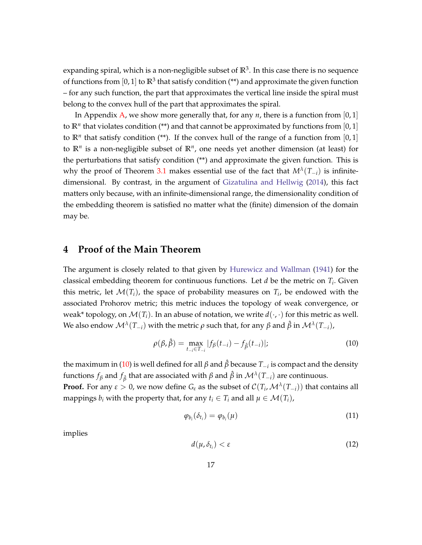expanding spiral*,* which is a non-negligible subset of  $\mathbb{R}^3$ . In this case there is no sequence of functions from  $[0,1]$  to  $\mathbb{R}^3$  that satisfy condition (\*\*) and approximate the given function – for any such function, the part that approximates the vertical line inside the spiral must belong to the convex hull of the part that approximates the spiral.

In Appendix [A,](#page-34-0) we show more generally that, for any  $n$ , there is a function from [0, 1] to  $\mathbb{R}^n$  that violates condition (\*\*) and that cannot be approximated by functions from  $[0,1]$ to  $\mathbb{R}^n$  that satisfy condition (\*\*). If the convex hull of the range of a function from  $[0,1]$ to **R***<sup>n</sup>* is a non-negligible subset of **R***<sup>n</sup>* , one needs yet another dimension (at least) for the perturbations that satisfy condition (\*\*) and approximate the given function. This is why the proof of Theorem [3.1](#page-13-0) makes essential use of the fact that  $M^{\lambda}(T_{-i})$  is infinitedimensional. By contrast, in the argument of [Gizatulina and Hellwig](#page-43-3) [\(2014\)](#page-43-3), this fact matters only because, with an infinite-dimensional range, the dimensionality condition of the embedding theorem is satisfied no matter what the (finite) dimension of the domain may be.

## <span id="page-18-0"></span>**4 Proof of the Main Theorem**

The argument is closely related to that given by [Hurewicz and Wallman](#page-43-5) [\(1941\)](#page-43-5) for the classical embedding theorem for continuous functions. Let *d* be the metric on *T<sup>i</sup>* . Given this metric, let  $\mathcal{M}(T_i)$ , the space of probability measures on  $T_i$ , be endowed with the associated Prohorov metric; this metric induces the topology of weak convergence, or weak\* topology, on  $\mathcal{M}(T_i)$ . In an abuse of notation, we write  $d(\cdot,\cdot)$  for this metric as well. We also endow  $\mathcal{M}^\lambda(T_{-i})$  with the metric  $\rho$  such that, for any  $\beta$  and  $\hat{\beta}$  in  $\mathcal{M}^\lambda(T_{-i})$ ,

<span id="page-18-1"></span>
$$
\rho(\beta, \hat{\beta}) = \max_{t_{-i} \in T_{-i}} |f_{\beta}(t_{-i}) - f_{\hat{\beta}}(t_{-i})|; \tag{10}
$$

the maximum in [\(10\)](#page-18-1) is well defined for all *β* and *β*ˆ because *T*−*<sup>i</sup>* is compact and the density functions  $f_{\beta}$  and  $f_{\hat{\beta}}$  that are associated with  $\beta$  and  $\hat{\beta}$  in  $\mathcal{M}^{\lambda}(T_{-i})$  are continuous.

**Proof.** For any  $\varepsilon > 0$ , we now define  $G_{\varepsilon}$  as the subset of  $\mathcal{C}(T_i,\mathcal{M}^{\lambda}(T_{-i}))$  that contains all mappings  $b_i$  with the property that, for any  $t_i \in T_i$  and all  $\mu \in \mathcal{M}(T_i)$ ,

$$
\varphi_{b_i}(\delta_{t_i}) = \varphi_{b_i}(\mu) \tag{11}
$$

implies

$$
d(\mu, \delta_{t_i}) < \varepsilon \tag{12}
$$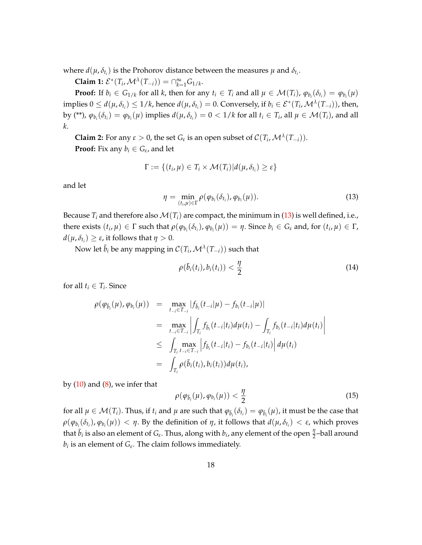where  $d(\mu, \delta_{t_i})$  is the Prohorov distance between the measures  $\mu$  and  $\delta_{t_i}$ .

**Claim 1:**  $\mathcal{E}^*(T_i, \mathcal{M}^{\lambda}(T_{-i})) = \bigcap_{k=1}^{\infty} G_{1/k}$ .

**Proof:** If  $b_i \in G_{1/k}$  for all k, then for any  $t_i \in T_i$  and all  $\mu \in \mathcal{M}(T_i)$ ,  $\varphi_{b_i}(\delta_{t_i}) = \varphi_{b_i}(\mu)$ implies  $0 \le d(\mu, \delta_{t_i}) \le 1/k$ , hence  $d(\mu, \delta_{t_i}) = 0$ . Conversely, if  $b_i \in \mathcal{E}^*(T_i, \mathcal{M}^{\lambda}(T_{-i}))$ , then, by (\*\*),  $\varphi_{b_i}(\delta_{t_i})=\varphi_{b_i}(\mu)$  implies  $d(\mu,\delta_{t_i})=0<1/k$  for all  $t_i\in T_i$ , all  $\mu\in \mathcal{M}(T_i)$ , and all *k*.

**Claim 2:** For any  $\varepsilon > 0$ , the set  $G_{\varepsilon}$  is an open subset of  $\mathcal{C}(T_i, \mathcal{M}^{\lambda}(T_{-i}))$ . **Proof:** Fix any  $b_i \in G_{\varepsilon}$ , and let

$$
\Gamma := \{(t_i, \mu) \in T_i \times \mathcal{M}(T_i) | d(\mu, \delta_{t_i}) \geq \varepsilon\}
$$

and let

<span id="page-19-0"></span>
$$
\eta = \min_{(t_i,\mu)\in\Gamma} \rho(\varphi_{b_i}(\delta_{t_i}),\varphi_{b_i}(\mu)). \tag{13}
$$

Because  $T_i$  and therefore also  $\mathcal{M}(T_i)$  are compact, the minimum in [\(13\)](#page-19-0) is well defined, i.e., there exists  $(t_i, \mu) \in \Gamma$  such that  $\rho(\varphi_{b_i}(\delta_{t_i}), \varphi_{b_i}(\mu)) = \eta$ . Since  $b_i \in G_{\varepsilon}$  and, for  $(t_i, \mu) \in \Gamma$ ,  $d(\mu, \delta_{t_i}) \geq \varepsilon$ , it follows that  $\eta > 0$ .

Now let  $\bar{b}_i$  be any mapping in  $\mathcal{C}(T_i,\mathcal{M}^{\lambda}(T_{-i}))$  such that

$$
\rho(\bar{b}_i(t_i), b_i(t_i)) < \frac{\eta}{2} \tag{14}
$$

for all  $t_i \in T_i$ . Since

$$
\rho(\varphi_{\bar{b}_i}(\mu), \varphi_{b_i}(\mu)) = \max_{t_{-i} \in T_{-i}} |f_{\bar{b}_i}(t_{-i}|\mu) - f_{b_i}(t_{-i}|\mu)|
$$
\n
$$
= \max_{t_{-i} \in T_{-i}} \left| \int_{T_i} f_{\bar{b}_i}(t_{-i}|t_i) d\mu(t_i) - \int_{T_i} f_{b_i}(t_{-i}|t_i) d\mu(t_i) \right|
$$
\n
$$
\leq \int_{T_i} \max_{t_{-i} \in T_{-i}} \left| f_{\bar{b}_i}(t_{-i}|t_i) - f_{b_i}(t_{-i}|t_i) \right| d\mu(t_i)
$$
\n
$$
= \int_{T_i} \rho(\bar{b}_i(t_i), b_i(t_i)) d\mu(t_i),
$$

by  $(10)$  and  $(8)$ , we infer that

$$
\rho(\varphi_{\bar{b}_i}(\mu), \varphi_{b_i}(\mu)) < \frac{\eta}{2}
$$
\n(15)

for all  $\mu \in \mathcal{M}(T_i)$ . Thus, if  $t_i$  and  $\mu$  are such that  $\varphi_{\bar{b}_i}(\delta_{t_i}) = \varphi_{\bar{b}_i}(\mu)$ , it must be the case that  $\rho(\varphi_{b_i}(\delta_{t_i}),\varphi_{b_i}(\mu))<\eta.$  By the definition of  $\eta$ , it follows that  $d(\mu,\delta_{t_i})<\varepsilon$ , which proves that  $\bar{b}_i$  is also an element of  $G_{\varepsilon}$ . Thus, along with  $b_i$ , any element of the open  $\frac{\eta}{2}$ -ball around  $b_i$  is an element of  $G_{\varepsilon}$ . The claim follows immediately.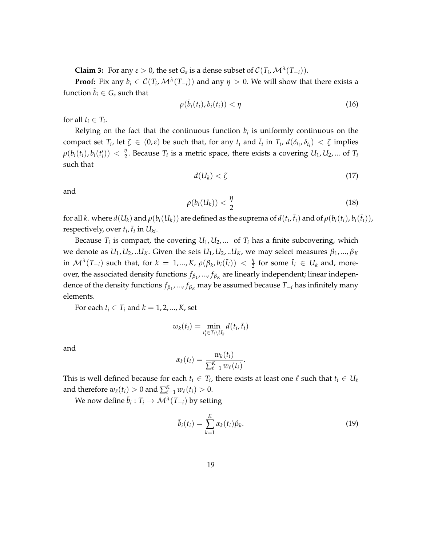**Claim 3:** For any  $\varepsilon > 0$ , the set  $G_{\varepsilon}$  is a dense subset of  $\mathcal{C}(T_i, \mathcal{M}^{\lambda}(T_{-i}))$ .

**Proof:** Fix any  $b_i \in C(T_i, \mathcal{M}^{\lambda}(T_{-i}))$  and any  $\eta > 0$ . We will show that there exists a function  $\bar{b}_i \in G_{\varepsilon}$  such that

<span id="page-20-0"></span>
$$
\rho(\bar{b}_i(t_i), b_i(t_i)) < \eta \tag{16}
$$

for all  $t_i \in T_i$ .

Relying on the fact that the continuous function  $b_i$  is uniformly continuous on the compact set  $T_i$ , let  $\zeta \in (0,\varepsilon)$  be such that, for any  $t_i$  and  $\bar{t}_i$  in  $T_i$ ,  $d(\delta_{t_i}, \delta_{\bar{t}_i}) < \zeta$  implies  $\rho(b_i(t_i), b_i(t'_i)) < \frac{\eta}{2}$  $\frac{q}{2}$ . Because  $T_i$  is a metric space, there exists a covering  $U_1, U_2, ...$  of  $T_i$ such that

<span id="page-20-2"></span>
$$
d(U_k) < \zeta \tag{17}
$$

and

<span id="page-20-1"></span>
$$
\rho(b_i(U_k)) < \frac{\eta}{2} \tag{18}
$$

for all  $k.$  where  $d(U_k)$  and  $\rho(b_i(U_k))$  are defined as the suprema of  $d(t_i,\bar{t}_i)$  and of  $\rho(b_i(t_i),b_i(\bar{t}_i))$ , respectively, over  $t_i$ ,  $\bar{t}_i$  in  $U_{ki}$ .

Because  $T_i$  is compact, the covering  $U_1, U_2, ...$  of  $T_i$  has a finite subcovering, which we denote as  $U_1, U_2, ...U_K$ . Given the sets  $U_1, U_2, ...U_K$ , we may select measures  $\beta_1, ..., \beta_K$ in  $\mathcal{M}^{\lambda}(T_{-i})$  such that, for  $k = 1, ..., K$ ,  $\rho(\beta_k, b_i(\bar{t}_i)) < \frac{\eta}{2}$  $\frac{\eta}{2}$  for some  $\bar{t}_i \in U_k$  and, moreover, the associated density functions  $f_{\beta_1},...,f_{\beta_K}$  are linearly independent; linear independence of the density functions *fβ*<sup>1</sup> , ..., *fβ<sup>K</sup>* may be assumed because *T*−*<sup>i</sup>* has infinitely many elements.

For each  $t_i \in T_i$  and  $k = 1, 2, ..., K$ , set

$$
w_k(t_i) = \min_{\bar{t}_i' \in T_i \setminus U_k} d(t_i, \bar{t}_i)
$$

and

$$
\alpha_k(t_i) = \frac{w_k(t_i)}{\sum_{\ell=1}^K w_\ell(t_i)}.
$$

This is well defined because for each  $t_i \in T_i$ , there exists at least one  $\ell$  such that  $t_i \in U_\ell$ and therefore  $w_{\ell}(t_i) > 0$  and  $\sum_{\ell=1}^{K} w_{\ell}(t_i) > 0$ .

We now define  $\bar{b}_i: T_i \to \mathcal{M}^\lambda(T_{-i})$  by setting

<span id="page-20-3"></span>
$$
\bar{b}_i(t_i) = \sum_{k=1}^K \alpha_k(t_i) \beta_k.
$$
\n(19)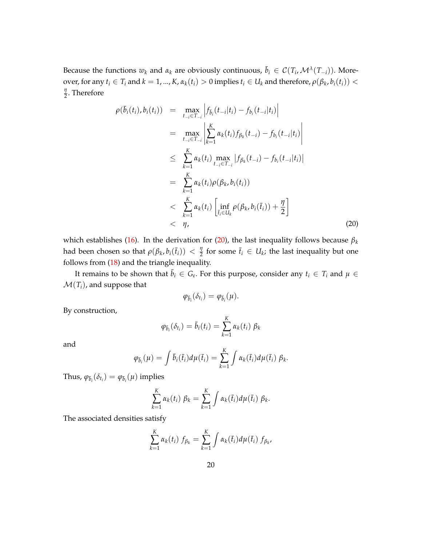Because the functions  $w_k$  and  $\alpha_k$  are obviously continuous,  $\bar{b}_i \in C(T_i, \mathcal{M}^{\lambda}(T_{-i}))$ . Moreover, for any  $t_i \in T_i$  and  $k = 1, ..., K$ ,  $\alpha_k(t_i) > 0$  implies  $t_i \in U_k$  and therefore,  $\rho(\beta_k, b_i(t_i)) <$ *η*  $\frac{\eta}{2}$ . Therefore

<span id="page-21-0"></span>
$$
\rho(\bar{b}_{i}(t_{i}), b_{i}(t_{i})) = \max_{t_{-i} \in T_{-i}} \left| f_{\bar{b}_{i}}(t_{-i}|t_{i}) - f_{b_{i}}(t_{-i}|t_{i}) \right|
$$
\n
$$
= \max_{t_{-i} \in T_{-i}} \left| \sum_{k=1}^{K} \alpha_{k}(t_{i}) f_{\beta_{k}}(t_{-i}) - f_{b_{i}}(t_{-i}|t_{i}) \right|
$$
\n
$$
\leq \sum_{k=1}^{K} \alpha_{k}(t_{i}) \max_{t_{-i} \in T_{-i}} \left| f_{\beta_{k}}(t_{-i}) - f_{b_{i}}(t_{-i}|t_{i}) \right|
$$
\n
$$
= \sum_{k=1}^{K} \alpha_{k}(t_{i}) \rho(\beta_{k}, b_{i}(t_{i}))
$$
\n
$$
< \sum_{k=1}^{K} \alpha_{k}(t_{i}) \left[ \inf_{t_{i} \in U_{k}} \rho(\beta_{k}, b_{i}(\bar{t}_{i})) + \frac{\eta}{2} \right]
$$
\n
$$
< \eta,
$$
\n(20)

which establishes [\(16\)](#page-20-0). In the derivation for [\(20\)](#page-21-0), the last inequality follows because *β<sup>k</sup>* had been chosen so that  $\rho(\beta_k, b_i(\bar{t}_i)) < \frac{\eta}{2}$  $\frac{\eta}{2}$  for some  $\bar{t}_i \in U_k$ ; the last inequality but one follows from [\(18\)](#page-20-1) and the triangle inequality.

It remains to be shown that  $\bar{b}_i \in G_{\varepsilon}$ . For this purpose, consider any  $t_i \in T_i$  and  $\mu \in$  $\mathcal{M}(T_i)$ , and suppose that

$$
\varphi_{\bar{b}_i}(\delta_{t_i})=\varphi_{\bar{b}_i}(\mu).
$$

By construction,

$$
\varphi_{\bar{b}_i}(\delta_{t_i}) = \bar{b}_i(t_i) = \sum_{k=1}^K \alpha_k(t_i) \beta_k
$$

and

$$
\varphi_{\bar{b}_i}(\mu) = \int \bar{b}_i(\bar{t}_i) d\mu(\bar{t}_i) = \sum_{k=1}^K \int \alpha_k(\bar{t}_i) d\mu(\bar{t}_i) \beta_k.
$$

Thus,  $\varphi_{\bar{b}_i}(\delta_{t_i}) = \varphi_{\bar{b}_i}(\mu)$  implies

$$
\sum_{k=1}^K \alpha_k(t_i) \beta_k = \sum_{k=1}^K \int \alpha_k(\bar{t}_i) d\mu(\bar{t}_i) \beta_k.
$$

The associated densities satisfy

$$
\sum_{k=1}^K \alpha_k(t_i) f_{\beta_k} = \sum_{k=1}^K \int \alpha_k(\bar{t}_i) d\mu(\bar{t}_i) f_{\beta_k},
$$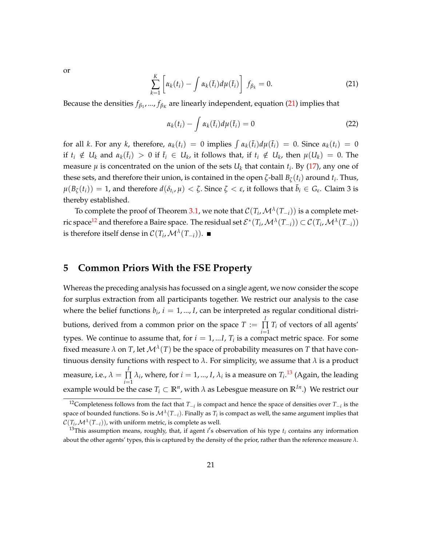or

<span id="page-22-1"></span>
$$
\sum_{k=1}^{K} \left[ \alpha_k(t_i) - \int \alpha_k(\bar{t}_i) d\mu(\bar{t}_i) \right] f_{\beta_k} = 0.
$$
 (21)

Because the densities  $f_{\beta_1},...,f_{\beta_K}$  are linearly independent, equation [\(21\)](#page-22-1) implies that

$$
\alpha_k(t_i) - \int \alpha_k(\bar{t}_i) d\mu(\bar{t}_i) = 0 \tag{22}
$$

for all *k*. For any *k*, therefore,  $\alpha_k(t_i) = 0$  implies  $\int \alpha_k(\bar{t}_i) d\mu(\bar{t}_i) = 0$ . Since  $\alpha_k(t_i) = 0$ if  $t_i \notin U_k$  and  $\alpha_k(\bar{t}_i) > 0$  if  $\bar{t}_i \in U_k$ , it follows that, if  $t_i \notin U_k$ , then  $\mu(U_k) = 0$ . The measure  $\mu$  is concentrated on the union of the sets  $U_k$  that contain  $t_i$ . By [\(17\)](#page-20-2), any one of these sets, and therefore their union, is contained in the open  $\zeta$ -ball  $B_{\zeta}(t_i)$  around  $t_i$ . Thus,  $\mu(B_\zeta(t_i)) = 1$ , and therefore  $d(\delta_{t_i}, \mu) < \zeta$ . Since  $\zeta < \varepsilon$ , it follows that  $\bar{b}_i \in G_{\varepsilon}$ . Claim 3 is thereby established.

To complete the proof of Theorem [3.1,](#page-13-0) we note that  $\mathcal{C}(T_i,\mathcal{M}^{\lambda}(T_{-i}))$  is a complete met-ric space<sup>[12](#page-22-2)</sup> and therefore a Baire space. The residual set  $\mathcal{E}^*(T_i,\mathcal{M}^{\lambda}(T_{-i}))\subset\mathcal{C}(T_i,\mathcal{M}^{\lambda}(T_{-i}))$ is therefore itself dense in  $\mathcal{C}(T_i,\mathcal{M}^{\lambda}(T_{-i})).$ 

## <span id="page-22-0"></span>**5 Common Priors With the FSE Property**

Whereas the preceding analysis has focussed on a single agent, we now consider the scope for surplus extraction from all participants together. We restrict our analysis to the case where the belief functions  $b_i$ ,  $i = 1, ..., I$ , can be interpreted as regular conditional distributions, derived from a common prior on the space  $T := \prod^I$  $\prod T_i$  of vectors of all agents' *i*=1 types. We continue to assume that, for *i* = 1, ...*I*, *T<sup>i</sup>* is a compact metric space. For some fixed measure  $\lambda$  on  $T$ , let  $\mathcal{M}^{\lambda}(T)$  be the space of probability measures on  $T$  that have continuous density functions with respect to  $\lambda$ . For simplicity, we assume that  $\lambda$  is a product measure, i.e.,  $\lambda = \prod^l$ ∏  $\prod_{i=1} \lambda_i$ , where, for  $i = 1, ..., I$ ,  $\lambda_i$  is a measure on  $T_i$ .<sup>[13](#page-22-3)</sup> (Again, the leading example would be the case  $T_i \subset \mathbb{R}^n$ , with  $\lambda$  as Lebesgue measure on  $\mathbb{R}^{In}$ .) We restrict our

<span id="page-22-2"></span><sup>12</sup>Completeness follows from the fact that *T*−*<sup>i</sup>* is compact and hence the space of densities over *T*−*<sup>i</sup>* is the space of bounded functions. So is  $\mathcal{M}^\lambda(T_{-i}).$  Finally as  $T_i$  is compact as well, the same argument implies that  $\mathcal{C}(T_i,\mathcal{M}^{\lambda}(T_{-i})),$  with uniform metric, is complete as well.

<span id="page-22-3"></span><sup>&</sup>lt;sup>13</sup>This assumption means, roughly, that, if agent  $i$ 's observation of his type  $t_i$  contains any information about the other agents' types, this is captured by the density of the prior, rather than the reference measure *λ*.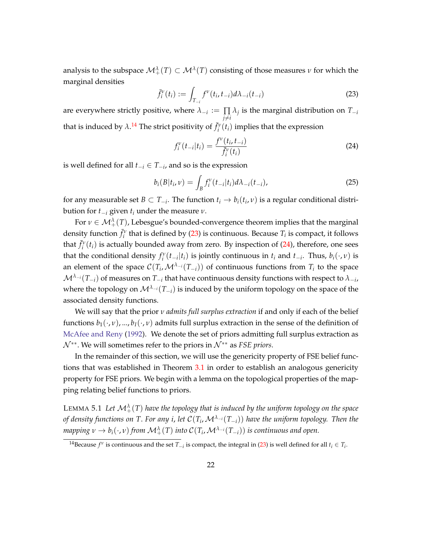analysis to the subspace  $\mathcal{M}_+^{\lambda}(T) \subset \mathcal{M}^{\lambda}(T)$  consisting of those measures  $\nu$  for which the marginal densities

<span id="page-23-1"></span>
$$
\bar{f}_i^{\nu}(t_i) := \int_{T_{-i}} f^{\nu}(t_i, t_{-i}) d\lambda_{-i}(t_{-i})
$$
\n(23)

are everywhere strictly positive, where  $\lambda_{-i} := \prod$  $\prod\limits_{j\neq i} \lambda_j$  is the marginal distribution on  $T_{-i}$ that is induced by  $\lambda$ .<sup>[14](#page-23-0)</sup> The strict positivity of  $\bar{f}_i^v(t_i)$  implies that the expression

<span id="page-23-2"></span>
$$
f_i^{\nu}(t_{-i}|t_i) = \frac{f^{\nu}(t_i, t_{-i})}{\bar{f}_i^{\nu}(t_i)}
$$
\n(24)

is well defined for all  $t_{-i} \in T_{-i}$ , and so is the expression

$$
b_i(B|t_i, \nu) = \int_B f_i^{\nu}(t_{-i}|t_i) d\lambda_{-i}(t_{-i}), \qquad (25)
$$

for any measurable set  $B \subset T_{-i}$ . The function  $t_i \to b_i(t_i, v)$  is a regular conditional distribution for  $t_{-i}$  given  $t_i$  under the measure  $\nu$ .

For  $\nu\in\mathcal{M}_+^\lambda(T)$ , Lebesgue's bounded-convergence theorem implies that the marginal density function  $\bar{f}_i^v$  that is defined by [\(23\)](#page-23-1) is continuous. Because  $T_i$  is compact, it follows that  $\bar{f}_i^v(t_i)$  is actually bounded away from zero. By inspection of  $(24)$ , therefore, one sees that the conditional density  $f_i^{\nu}(t_{-i}|t_i)$  is jointly continuous in  $t_i$  and  $t_{-i}$ . Thus,  $b_i(\cdot, \nu)$  is an element of the space  $\mathcal{C}(T_i,\mathcal{M}^{\lambda_{-i}}(T_{-i}))$  of continuous functions from  $T_i$  to the space  $\mathcal{M}^{\lambda_{-i}}(T_{-i})$  of measures on  $T_{-i}$  that have continuous density functions with respect to  $\lambda_{-i}$ , where the topology on  $\mathcal{M}^{\lambda_{-i}}(T_{-i})$  is induced by the uniform topology on the space of the associated density functions.

We will say that the prior *ν admits full surplus extraction* if and only if each of the belief functions  $b_1(\cdot, v)$ , ...,  $b_I(\cdot, v)$  admits full surplus extraction in the sense of the definition of [McAfee and Reny](#page-43-0) [\(1992\)](#page-43-0). We denote the set of priors admitting full surplus extraction as  $N$ <sup>∗∗</sup>. We will sometimes refer to the priors in  $N$ <sup>∗∗</sup> as *FSE priors*.

In the remainder of this section, we will use the genericity property of FSE belief functions that was established in Theorem [3.1](#page-13-0) in order to establish an analogous genericity property for FSE priors. We begin with a lemma on the topological properties of the mapping relating belief functions to priors.

<span id="page-23-3"></span>LEMMA 5.1 Let  $\mathcal{M}_+^\lambda(T)$  have the topology that is induced by the uniform topology on the space *of density functions on T*. *For any i*, *let* C(*T<sup>i</sup>* ,M*λ*−*i*(*T*−*i*)) *have the uniform topology. Then the mapping*  $\nu \to b_i(\cdot,\nu)$  *from*  $\mathcal{M}_+^\lambda(T)$  *into*  $\mathcal{C}(T_i,\mathcal{M}^{\lambda_{-i}}(T_{-i}))$  *is continuous and open.* 

<span id="page-23-0"></span><sup>&</sup>lt;sup>14</sup>Because  $f^v$  is continuous and the set  $T_{-i}$  is compact, the integral in [\(23\)](#page-23-1) is well defined for all  $t_i \in T_i$ .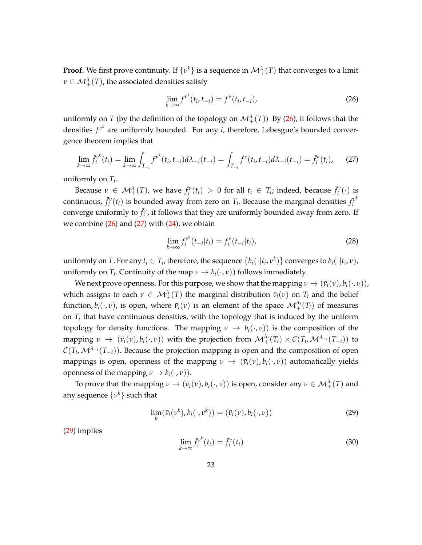**Proof.** We first prove continuity. If  $\{v^k\}$  is a sequence in  $\mathcal{M}^\lambda_+(T)$  that converges to a limit  $\nu \in \mathcal{M}_+^\lambda(T)$ , the associated densities satisfy

<span id="page-24-0"></span>
$$
\lim_{k \to \infty} f^{\nu^k}(t_i, t_{-i}) = f^{\nu}(t_i, t_{-i}), \tag{26}
$$

uniformly on *T* (by the definition of the topology on  $\mathcal{M}_+^{\lambda}(T)$ ) By [\(26\)](#page-24-0), it follows that the densities  $f^{\nu^k}$  are uniformly bounded. For any *i*, therefore, Lebesgue's bounded convergence theorem implies that

<span id="page-24-1"></span>
$$
\lim_{k \to \infty} \bar{f}_i^{\nu^k}(t_i) = \lim_{k \to \infty} \int_{T_{-i}} f^{\nu^k}(t_i, t_{-i}) d\lambda_{-i}(t_{-i}) = \int_{T_{-i}} f^{\nu}(t_i, t_{-i}) d\lambda_{-i}(t_{-i}) = \bar{f}_i^{\nu}(t_i), \tag{27}
$$

uniformly on *T<sup>i</sup>* .

Because  $v \in M^{\lambda}_{+}(T)$ , we have  $\bar{f}^{\nu}_{i}(t_i) > 0$  for all  $t_i \in T_i$ ; indeed, because  $\bar{f}^{\nu}_{i}(\cdot)$  is continuous,  $\bar{f}_i^v(t_i)$  is bounded away from zero on  $T_i$ . Because the marginal densities  $f_i^{v^k}$ *i* converge uniformly to  $\bar{f}_i^{\nu}$ , it follows that they are uniformly bounded away from zero. If we combine  $(26)$  and  $(27)$  with  $(24)$ , we obtain

$$
\lim_{k \to \infty} f_i^{\nu^k}(t_{-i}|t_i) = f_i^{\nu}(t_{-i}|t_i), \tag{28}
$$

uniformly on *T*. For any  $t_i \in T_i$ , therefore, the sequence  $\{b_i(\cdot|t_i,v^k)\}$  converges to  $b_i(\cdot|t_i,v)$ , uniformly on *T*<sub>*i*</sub>. Continuity of the map  $\nu \rightarrow b_i(\cdot,\nu)$  follows immediately.

We next prove openness. For this purpose, we show that the mapping  $v \to (\bar{v}_i(v), b_i(\cdot, v))$ , which assigns to each  $\nu \in \mathcal{M}^{\lambda}_{+}(T)$  the marginal distribution  $\bar{v}_i(\nu)$  on  $T_i$  and the belief function,  $b_i(\cdot,\nu)$ , is open, where  $\bar{v}_i(\nu)$  is an element of the space  $\mathcal{M}_+^{\lambda_i}(T_i)$  of measures on *T<sup>i</sup>* that have continuous densities, with the topology that is induced by the uniform topology for density functions. The mapping  $\nu \to b_i(\cdot,\nu)$  is the composition of the  $\text{mapping } \nu \rightarrow (\bar{\nu}_i(\nu), b_i(\cdot, \nu)) \text{ with the projection from } \mathcal{M}_+^{\lambda_i}(T_i) \times \mathcal{C}(T_i, \mathcal{M}^{\lambda_{-i}}(T_{-i})) \text{ to } \mathcal{M}_+^{\lambda_i}(T_i)$ C(*T<sup>i</sup>* ,M*λ*−*i*(*T*−*i*)). Because the projection mapping is open and the composition of open mappings is open, openness of the mapping  $\nu \to (\bar{v}_i(\nu), b_i(\cdot, \nu))$  automatically yields openness of the mapping  $v \rightarrow b_i(\cdot, v)$ ).

To prove that the mapping  $\nu \to (\bar{\nu}_i(\nu), b_i(\cdot, \nu))$  is open, consider any  $\nu \in \mathcal{M}^{\lambda}_+(T)$  and any sequence  $\{v^k\}$  such that

<span id="page-24-2"></span>
$$
\lim_{k} (\bar{v}_i(\nu^k), b_i(\cdot, \nu^k)) = (\bar{v}_i(\nu), b_i(\cdot, \nu))
$$
\n(29)

[\(29\)](#page-24-2) implies

<span id="page-24-3"></span>
$$
\lim_{k \to \infty} \bar{f}_i^{\nu^k}(t_i) = \bar{f}_i^{\nu}(t_i)
$$
\n(30)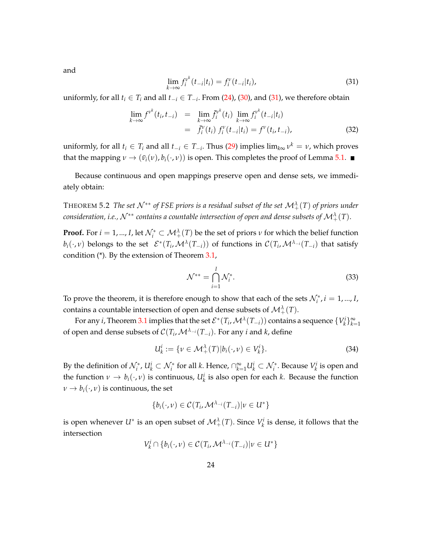and

<span id="page-25-0"></span>
$$
\lim_{k \to \infty} f_i^{\nu^k}(t_{-i}|t_i) = f_i^{\nu}(t_{-i}|t_i), \tag{31}
$$

uniformly, for all  $t_i$  ∈  $T_i$  and all  $t_{-i}$  ∈  $T_{-i}$ . From [\(24\)](#page-23-2), [\(30\)](#page-24-3), and [\(31\)](#page-25-0), we therefore obtain

$$
\lim_{k \to \infty} f^{\nu^k}(t_i, t_{-i}) = \lim_{k \to \infty} \bar{f}_i^{\nu^k}(t_i) \lim_{k \to \infty} f_i^{\nu^k}(t_{-i}|t_i) \n= \bar{f}_i^{\nu}(t_i) f_i^{\nu}(t_{-i}|t_i) = f^{\nu}(t_i, t_{-i}),
$$
\n(32)

uniformly, for all  $t_i \in T_i$  and all  $t_{-i} \in T_{-i}$ . Thus [\(29\)](#page-24-2) implies  $\lim_{k \infty} v^k = v$ , which proves that the mapping  $v \to (\bar{v}_i(v), b_i(\cdot, v))$  is open. This completes the proof of Lemma [5.1.](#page-23-3)  $\blacksquare$ 

Because continuous and open mappings preserve open and dense sets, we immediately obtain:

<span id="page-25-1"></span>THEOREM 5.2 *The set*  $\mathcal{N}^{**}$  *of FSE priors is a residual subset of the set*  $\mathcal{M}^{\lambda}_+(T)$  *of priors under*  $c$ onsideration, i.e.,  $\mathcal{N}^{**}$  contains a countable intersection of open and dense subsets of  $\mathcal{M}_+^\lambda(T).$ 

**Proof.** For  $i = 1, ..., I$ , let  $\mathcal{N}_i^* \subset \mathcal{M}_+^{\lambda}(T)$  be the set of priors  $\nu$  for which the belief function  $b_i(\cdot,\nu)$  belongs to the set  $\mathcal{E}^*(T_i,\mathcal{M}^{\lambda}(T_{-i}))$  of functions in  $\mathcal{C}(T_i,\mathcal{M}^{\lambda_{-i}}(T_{-i})$  that satisfy condition (\*). By the extension of Theorem [3.1,](#page-13-0)

$$
\mathcal{N}^{**} = \bigcap_{i=1}^{I} \mathcal{N}_i^*.
$$
\n(33)

To prove the theorem, it is therefore enough to show that each of the sets  $\mathcal{N}_i^*$ ,  $i = 1, ..., I$ , contains a countable intersection of open and dense subsets of  $\mathcal{M}_+^\lambda(T)$ .

For any *i*, Theorem [3.1](#page-13-0) implies that the set  $\mathcal{E}^*(T_i,\mathcal{M}^{\lambda}(T_{-i}))$  contains a sequence  $\{V_k^i\}_{k=1}^{\infty}$ of open and dense subsets of  $\mathcal{C}(T_i,\mathcal{M}^{\lambda_{-i}}(T_{-i})$ . For any *i* and *k*, define

$$
U_k^i := \{ \nu \in \mathcal{M}_+^\lambda(T) | b_i(\cdot, \nu) \in V_k^i \}. \tag{34}
$$

By the definition of  $\mathcal{N}_i^*$ ,  $U_k^i \subset \mathcal{N}_i^*$  for all *k*. Hence,  $\cap_{k=1}^{\infty} U_k^i \subset \mathcal{N}_i^*$ . Because  $V_k^i$  is open and the function  $\nu \to b_i(\cdot,\nu)$  is continuous,  $U^i_k$  is also open for each *k*. Because the function  $\nu \rightarrow b_i(\cdot,\nu)$  is continuous, the set

$$
\{b_i(\cdot,v)\in \mathcal{C}(T_i,\mathcal{M}^{\lambda_{-i}}(T_{-i})|v\in U^*\}
$$

is open whenever  $U^*$  is an open subset of  $\mathcal{M}^{\lambda}_+(T)$ . Since  $V^i_k$  is dense, it follows that the intersection

$$
V_k^i \cap \{b_i(\cdot, \nu) \in \mathcal{C}(T_i, \mathcal{M}^{\lambda_{-i}}(T_{-i}) | \nu \in U^*\}
$$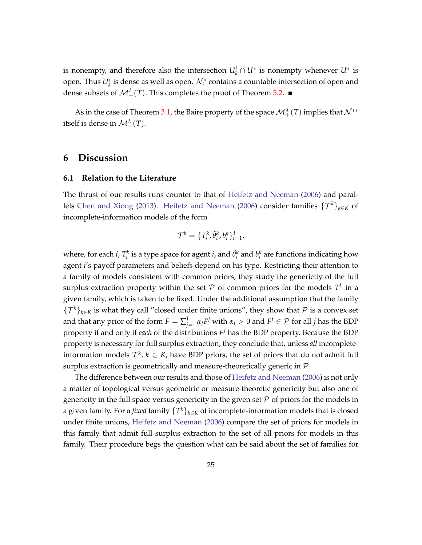is nonempty, and therefore also the intersection  $U_k^i \cap U^*$  is nonempty whenever  $U^*$  is open. Thus  $U^i_k$  is dense as well as open.  $\mathcal{N}^*_i$  contains a countable intersection of open and dense subsets of  $\mathcal{M}_{+}^{\lambda}(T)$ . This completes the proof of Theorem [5.2.](#page-25-1)

As in the case of Theorem [3.1,](#page-13-0) the Baire property of the space  $\mathcal{M}_+^\lambda(T)$  implies that  $\mathcal{N}^{**}$ itself is dense in  $\mathcal{M}_+^\lambda(T).$ 

### <span id="page-26-0"></span>**6 Discussion**

#### **6.1 Relation to the Literature**

The thrust of our results runs counter to that of [Heifetz and Neeman](#page-43-1) [\(2006\)](#page-43-1) and paral-lels [Chen and Xiong](#page-42-4) [\(2013\)](#page-42-4). [Heifetz and Neeman](#page-43-1) [\(2006\)](#page-43-1) consider families  $\{\mathcal{T}^k\}_{k\in K}$  of incomplete-information models of the form

$$
\mathcal{T}^k = \{T_i^k, \hat{\theta}_i^k, b_i^k\}_{i=1}^I,
$$

where, for each *i*,  $T_i^k$  is a type space for agent *i*, and  $\hat{\theta}_i^k$  and  $b_i^k$  are functions indicating how agent *i*'s payoff parameters and beliefs depend on his type. Restricting their attention to a family of models consistent with common priors, they study the genericity of the full surplus extraction property within the set  ${\mathcal P}$  of common priors for the models  $T^k$  in a given family, which is taken to be fixed. Under the additional assumption that the family  ${\{\mathcal{T}^k\}}_{k\in K}$  is what they call "closed under finite unions", they show that P is a convex set and that any prior of the form  $F = \sum_i^f$  $J$ <sub>*j*=1</sub>α<sub>*j</sub>F<sup><i>j*</sup> with α<sub>*j*</sub> > 0 and *F<sup>j</sup>* ∈  $P$  for all *j* has the BDP</sub> property if and only if *each* of the distributions *F <sup>j</sup>* has the BDP property. Because the BDP property is necessary for full surplus extraction, they conclude that, unless *all* incompleteinformation models  $\mathcal{T}^k$ ,  $k \in K$ , have BDP priors, the set of priors that do not admit full surplus extraction is geometrically and measure-theoretically generic in  $P$ .

The difference between our results and those of [Heifetz and Neeman](#page-43-1) [\(2006\)](#page-43-1) is not only a matter of topological versus geometric or measure-theoretic genericity but also one of genericity in the full space versus genericity in the given set  $P$  of priors for the models in a given family. For a *fixed* family {*T <sup>k</sup>*}*k*∈*<sup>K</sup>* of incomplete-information models that is closed under finite unions, [Heifetz and Neeman](#page-43-1) [\(2006\)](#page-43-1) compare the set of priors for models in this family that admit full surplus extraction to the set of all priors for models in this family. Their procedure begs the question what can be said about the set of families for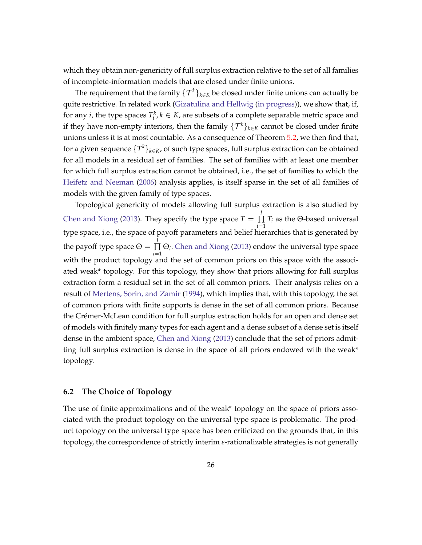which they obtain non-genericity of full surplus extraction relative to the set of all families of incomplete-information models that are closed under finite unions.

The requirement that the family  $\{\mathcal{T}^k\}_{k\in\mathcal{K}}$  be closed under finite unions can actually be quite restrictive. In related work [\(Gizatulina and Hellwig](#page-43-6) [\(in progress\)](#page-43-6)), we show that, if, for any *i*, the type spaces  $T_i^k$ ,  $k \in K$ , are subsets of a complete separable metric space and if they have non-empty interiors, then the family  $\{\mathcal{T}^k\}_{k\in K}$  cannot be closed under finite unions unless it is at most countable. As a consequence of Theorem [5.2,](#page-25-1) we then find that, for a given sequence {*T <sup>k</sup>*}*k*∈*K*, of such type spaces, full surplus extraction can be obtained for all models in a residual set of families. The set of families with at least one member for which full surplus extraction cannot be obtained, i.e., the set of families to which the [Heifetz and Neeman](#page-43-1) [\(2006\)](#page-43-1) analysis applies, is itself sparse in the set of all families of models with the given family of type spaces.

Topological genericity of models allowing full surplus extraction is also studied by [Chen and Xiong](#page-42-4) [\(2013\)](#page-42-4). They specify the type space  $T = \prod_{i=1}^{n} T_i$ ∏  $\prod_{i=1}$  *T<sub>i</sub>* as the Θ-based universal type space, i.e., the space of payoff parameters and belief hierarchies that is generated by the payoff type space  $\Theta = \prod^I$ ∏ *i*=1 Θ*i* . [Chen and Xiong](#page-42-4) [\(2013\)](#page-42-4) endow the universal type space with the product topology and the set of common priors on this space with the associated weak\* topology. For this topology, they show that priors allowing for full surplus extraction form a residual set in the set of all common priors. Their analysis relies on a result of [Mertens, Sorin, and Zamir](#page-43-7) [\(1994\)](#page-43-7), which implies that, with this topology, the set of common priors with finite supports is dense in the set of all common priors. Because the Crémer-McLean condition for full surplus extraction holds for an open and dense set of models with finitely many types for each agent and a dense subset of a dense set is itself dense in the ambient space, [Chen and Xiong](#page-42-4) [\(2013\)](#page-42-4) conclude that the set of priors admitting full surplus extraction is dense in the space of all priors endowed with the weak\* topology.

#### **6.2 The Choice of Topology**

The use of finite approximations and of the weak\* topology on the space of priors associated with the product topology on the universal type space is problematic. The product topology on the universal type space has been criticized on the grounds that, in this topology, the correspondence of strictly interim *ε*-rationalizable strategies is not generally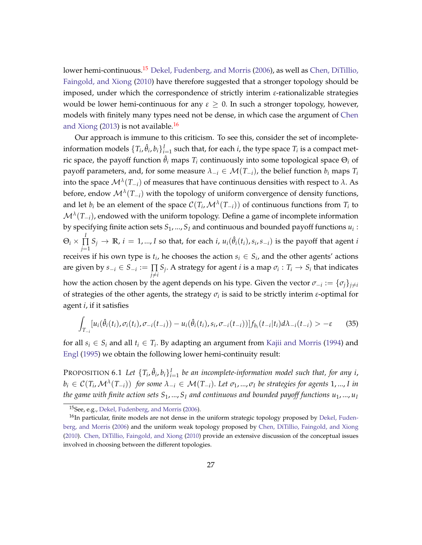lower hemi-continuous.<sup>[15](#page-28-0)</sup> [Dekel, Fudenberg, and Morris](#page-42-5) [\(2006\)](#page-42-5), as well as [Chen, DiTillio,](#page-42-6) [Faingold, and Xiong](#page-42-6) [\(2010\)](#page-42-6) have therefore suggested that a stronger topology should be imposed, under which the correspondence of strictly interim *ε*-rationalizable strategies would be lower hemi-continuous for any  $\varepsilon > 0$ . In such a stronger topology, however, models with finitely many types need not be dense, in which case the argument of [Chen](#page-42-4) [and Xiong](#page-42-4) [\(2013\)](#page-42-4) is not available.<sup>[16](#page-28-1)</sup>

Our approach is immune to this criticism. To see this, consider the set of incompleteinformation models  $\{T_i, \hat{\theta}_i, b_i\}_{i=1}^I$  such that, for each *i*, the type space  $T_i$  is a compact metric space, the payoff function  $\hat{\theta}_i$  maps  $T_i$  continuously into some topological space  $\Theta_i$  of payoff parameters, and, for some measure  $\lambda_{-i} \in \mathcal{M}(T_{-i})$ , the belief function  $b_i$  maps  $T_i$ into the space  $\mathcal{M}^\lambda(T_{-i})$  of measures that have continuous densities with respect to  $\lambda.$  As before, endow M*<sup>λ</sup>* (*T*−*i*) with the topology of uniform convergence of density functions, and let  $b_i$  be an element of the space  $\mathcal{C}(T_i,\mathcal{M}^{\lambda}(T_{-i}))$  of continuous functions from  $T_i$  to  $\mathcal{M}^{\lambda}(T_{-i})$ , endowed with the uniform topology. Define a game of incomplete information by specifying finite action sets *S*1, ..., *S<sup>I</sup>* and continuous and bounded payoff functions *u<sup>i</sup>* :  $\Theta_i \times \frac{I}{\Gamma}$ ∏  $\prod_{j=1}^{n} S_j \to \mathbb{R}$ ,  $i = 1, ..., I$  so that, for each *i*,  $u_i(\hat{\theta}_i(t_i), s_i, s_{-i})$  is the payoff that agent *i* receives if his own type is  $t_i$ , he chooses the action  $s_i \in S_i$ , and the other agents' actions are given by  $s_{-i} \in S_{-i} := \prod$  $\prod\limits_{j \neq i} S_j$ . A strategy for agent *i* is a map  $\sigma_i : T_i \to S_i$  that indicates how the action chosen by the agent depends on his type. Given the vector  $\sigma_{-i}:=\{\sigma_{\hat{j}}\}_{\hat{j}\neq i}$ of strategies of the other agents, the strategy *σ<sup>i</sup>* is said to be strictly interim *ε*-optimal for agent *i*, if it satisfies

$$
\int_{T_{-i}} [u_i(\hat{\theta}_i(t_i), \sigma_i(t_i), \sigma_{-i}(t_{-i})) - u_i(\hat{\theta}_i(t_i), s_i, \sigma_{-i}(t_{-i}))] f_{b_i}(t_{-i}|t_i) d\lambda_{-i}(t_{-i}) > -\varepsilon
$$
 (35)

for all  $s_i \in S_i$  and all  $t_i \in T_i$ . By adapting an argument from [Kajii and Morris](#page-43-4) [\(1994\)](#page-43-4) and [Engl](#page-43-8) [\(1995\)](#page-43-8) we obtain the following lower hemi-continuity result:

<span id="page-28-2"></span>PROPOSITION 6.1 Let  $\{T_i, \hat{\theta}_i, b_i\}_{i=1}^I$  be an incomplete-information model such that, for any i,  $b_i\in\mathcal{C}(T_i,\mathcal{M}^{\lambda}(T_{-i}))$  for some  $\lambda_{-i}\in\mathcal{M}(T_{-i}).$  Let  $\sigma_1,...,\sigma_I$  be strategies for agents  $1,...,I$  in *the game with finite action sets*  $S_1$ , ...,  $S_I$  and continuous and bounded payoff functions  $u_1$ , ...,  $u_I$ 

<span id="page-28-1"></span><span id="page-28-0"></span><sup>15</sup>See, e.g., [Dekel, Fudenberg, and Morris](#page-42-5) [\(2006\)](#page-42-5).

 $16$ In particular, finite models are not dense in the uniform strategic topology proposed by [Dekel, Fuden](#page-42-5)[berg, and Morris](#page-42-5) [\(2006\)](#page-42-5) and the uniform weak topology proposed by [Chen, DiTillio, Faingold, and Xiong](#page-42-6) [\(2010\)](#page-42-6). [Chen, DiTillio, Faingold, and Xiong](#page-42-6) [\(2010\)](#page-42-6) provide an extensive discussion of the conceptual issues involved in choosing between the different topologies.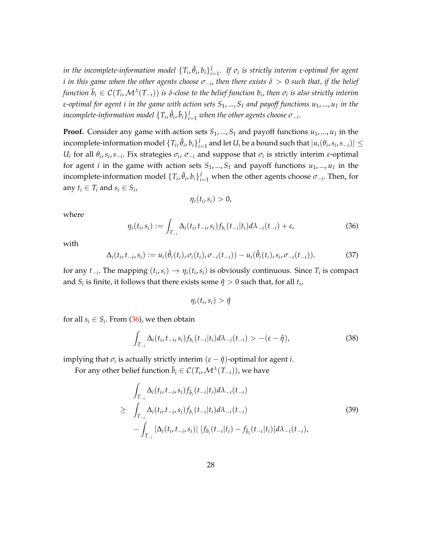*in the incomplete-information model*  $\{T_i, \hat{\theta}_i, b_i\}_{i=1}^I$ *. If*  $\sigma_i$  *is strictly interim ε-optimal for agent*  $i$  in this game when the other agents choose  $\sigma_{-i}$ , then there exists  $\delta>0$  such that, if the belief  $f$ unction  $\bar{b}_i\in\mathcal{C}(T_i,\mathcal{M}^{\lambda}(T_{-i}))$  is  $\delta$ -close to the belief function  $b_i$ , then  $\sigma_i$  is also strictly interim *ε-optimal for agent i in the game with action sets S*1, ..., *S<sup>I</sup> and payoff functions u*1, ..., *u<sup>I</sup> in the*  $i$ ncomplete-information model  $\{T_i, \hat{\theta}_i, \bar{b}_i\}_{i=1}^I$  when the other agents choose  $\sigma_{-i}.$ 

**Proof.** Consider any game with action sets *S*1, ..., *S<sup>I</sup>* and payoff functions *u*1, ..., *u<sup>I</sup>* in the incomplete-information model  $\{T_i,\hat{\theta}_i,b_i\}_{i=1}^I$  and let  $U_i$  be a bound such that  $|u_i(\theta_i,s_i,s_{-i})|\leq$ *U*<sup>*i*</sup> for all *θ*<sub>*i*</sub>, *s*<sub>*i*</sub>, *s*<sub>−*i*</sub>. Fix strategies  $σ$ <sub>*i*</sub>,  $σ$ <sub>−*i*</sub> and suppose that  $σ$ <sup>*i*</sup> is strictly interim *ε*-optimal for agent *i* in the game with action sets *S*1, ..., *S<sup>I</sup>* and payoff functions *u*1, ..., *u<sup>I</sup>* in the incomplete-information model  $\{T_i, \hat{\theta}_i, b_i\}_{i=1}^I$  when the other agents choose  $\sigma_{-i}$ . Then, for any  $t_i \in T_i$  and  $s_i \in S_i$ ,

$$
\eta_i(t_i,s_i)>0,
$$

where

<span id="page-29-0"></span>
$$
\eta_i(t_i, s_i) := \int_{T_{-i}} \Delta_i(t_i, t_{-i}, s_i) f_{b_i}(t_{-i}|t_i) d\lambda_{-i}(t_{-i}) + \varepsilon,\tag{36}
$$

with

$$
\Delta_i(t_i, t_{-i}, s_i) := u_i(\hat{\theta}_i(t_i), \sigma_i(t_i), \sigma_{-i}(t_{-i})) - u_i(\hat{\theta}_i(t_i), s_i, \sigma_{-i}(t_{-i})).
$$
\n(37)

for any  $t_{-i}$ . The mapping  $(t_i, s_i) \rightarrow \eta_i(t_i, s_i)$  is obviously continuous. Since  $T_i$  is compact and  $S_i$  is finite, it follows that there exists some  $\hat{\eta} > 0$  such that, for all  $t_i$ ,

 $\eta_i(t_i,s_i) > \hat{\eta}$ 

for all  $s_i \in S_i$ . From [\(36\)](#page-29-0), we then obtain

<span id="page-29-2"></span>
$$
\int_{T_{-i}} \Delta_i(t_i, t_{-i}, s_i) f_{b_i}(t_{-i}|t_i) d\lambda_{-i}(t_{-i}) > -(\varepsilon - \hat{\eta}), \tag{38}
$$

implying that  $\sigma_i$  is actually strictly interim  $(\varepsilon - \hat{\eta})$ -optimal for agent *i*.

For any other belief function  $\bar{b}_i \in \mathcal{C}(T_i,\mathcal{M}^{\lambda}(T_{-i})),$  we have

<span id="page-29-1"></span>
$$
\int_{T_{-i}} \Delta_i(t_i, t_{-i}, s_i) f_{\bar{b}_i}(t_{-i}|t_i) d\lambda_{-i}(t_{-i})
$$
\n
$$
\geq \int_{T_{-i}} \Delta_i(t_i, t_{-i}, s_i) f_{b_i}(t_{-i}|t_i) d\lambda_{-i}(t_{-i})
$$
\n
$$
- \int_{T_{-i}} |\Delta_i(t_i, t_{-i}, s_i)| |f_{b_i}(t_{-i}|t_i) - f_{\bar{b}_i}(t_{-i}|t_i)| d\lambda_{-i}(t_{-i}),
$$
\n(39)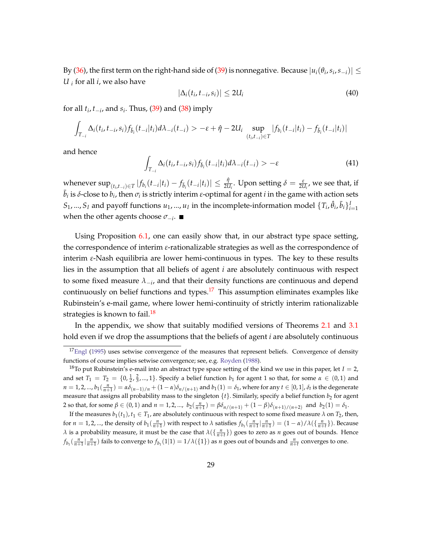By [\(36\)](#page-29-0), the first term on the right-hand side of [\(39\)](#page-29-1) is nonnegative. Because  $|u_i(\theta_i,s_i,s_{-i})|\leq$ *U <sup>i</sup>* for all *i*, we also have

$$
|\Delta_i(t_i, t_{-i}, s_i)| \leq 2U_i \tag{40}
$$

for all *t<sup>i</sup>* , *t*−*<sup>i</sup>* , and *s<sup>i</sup>* . Thus, [\(39\)](#page-29-1) and [\(38\)](#page-29-2) imply

$$
\int_{T_{-i}} \Delta_i(t_i, t_{-i}, s_i) f_{\bar{b}_i}(t_{-i}|t_i) d\lambda_{-i}(t_{-i}) > -\varepsilon + \hat{\eta} - 2U_i \sup_{(t_i, t_{-i}) \in T} |f_{b_i}(t_{-i}|t_i) - f_{\bar{b}_i}(t_{-i}|t_i)|
$$

and hence

$$
\int_{T_{-i}} \Delta_i(t_i, t_{-i}, s_i) f_{b_i}(t_{-i}|t_i) d\lambda_{-i}(t_{-i}) > -\varepsilon
$$
\n(41)

whenever  $\sup_{(t_i,t_{-i})\in T}|f_{b_i}(t_{-i}|t_i)-f_{\bar{b}_i}(t_{-i}|t_i)|\leq\frac{\hat{\eta}}{2U_i}.$  Upon setting  $\delta=\frac{\varepsilon}{2U_i}$ , we see that, if  $\bar{b}_i$  is *δ*-close to  $b_i$ , then  $\sigma_i$  is strictly interim *ε*-optimal for agent *i* in the game with action sets  $S_1$ , ...,  $S_I$  and payoff functions  $u_1$ , ...,  $u_I$  in the incomplete-information model  $\{T_i$ ,  $\hat{\theta}_i$ ,  $\bar{b}_i\}_{i=1}^I$ when the other agents choose *σ*−*<sup>i</sup>* .

Using Proposition [6.1,](#page-28-2) one can easily show that, in our abstract type space setting, the correspondence of interim *ε*-rationalizable strategies as well as the correspondence of interim *ε*-Nash equilibria are lower hemi-continuous in types. The key to these results lies in the assumption that all beliefs of agent *i* are absolutely continuous with respect to some fixed measure  $\lambda_{-i}$ , and that their density functions are continuous and depend continuously on belief functions and types.<sup>[17](#page-30-0)</sup> This assumption eliminates examples like Rubinstein's e-mail game, where lower hemi-continuity of strictly interim rationalizable strategies is known to fail.<sup>[18](#page-30-1)</sup>

In the appendix, we show that suitably modified versions of Theorems [2.1](#page-11-1) and [3.1](#page-13-0) hold even if we drop the assumptions that the beliefs of agent *i* are absolutely continuous

<span id="page-30-0"></span> $17$ [Engl](#page-43-8) [\(1995\)](#page-43-8) uses setwise convergence of the measures that represent beliefs. Convergence of density functions of course implies setwise convergence; see, e.g. [Royden](#page-43-9) [\(1988\)](#page-43-9).

<span id="page-30-1"></span><sup>&</sup>lt;sup>18</sup>To put Rubinstein's e-mail into an abstract type space setting of the kind we use in this paper, let  $I = 2$ , and set  $T_1 = T_2 = \{0, \frac{1}{2}, \frac{2}{3}, \dots, 1\}$ . Specify a belief function  $b_1$  for agent 1 so that, for some  $\alpha \in (0, 1)$  and  $n=1,2,...,b_1(\frac{n}{n+1})=\alpha\delta_{(n-1)/n}+(1-\alpha)\delta_{n/(n+1)}$  and  $b_1(1)=\delta_1$ , where for any  $t\in[0,1]$ ,  $\delta_t$  is the degenerate measure that assigns all probability mass to the singleton  $\{t\}$ . Similarly, specify a belief function  $b_2$  for agent 2 so that, for some  $\beta \in (0,1)$  and  $n = 1, 2, ..., b_2(\frac{n}{n+1}) = \beta \delta_{n/(n+1)} + (1 - \beta) \delta_{(n+1)/(n+2)}$  and  $b_2(1) = \delta_1$ .

If the measures  $b_1(t_1)$ ,  $t_1 \in T_1$ , are absolutely continuous with respect to some fixed measure  $\lambda$  on  $T_2$ , then, for  $n = 1, 2, ...$ , the density of  $b_1(\frac{n}{n+1})$  with respect to  $\lambda$  satisfies  $f_{b_1}(\frac{n}{n+1}|\frac{n}{n+1}) = (1 - \alpha)/\lambda(\{\frac{n}{n+1}\})$ . Because *λ* is a probability measure, it must be the case that  $\lambda(\frac{n}{n+t})$  goes to zero as *n* goes out of bounds. Hence  $f_{b_1}(\frac{n}{n+1}|\frac{n}{n+1})$  fails to converge to  $f_{b_1}(1|1)=1/\lambda(\{1\})$  as *n* goes out of bounds and  $\frac{n}{n+t}$  converges to one.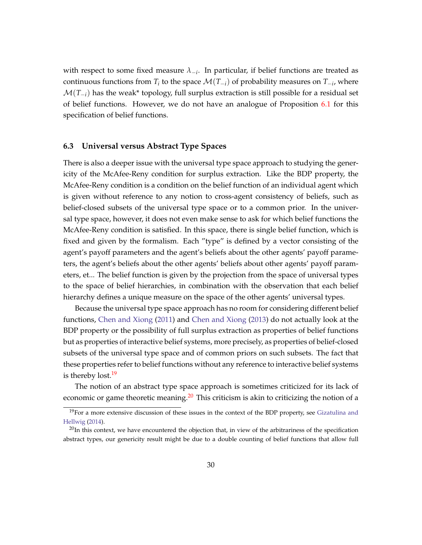with respect to some fixed measure *λ*−*<sup>i</sup>* . In particular, if belief functions are treated as continuous functions from  $T_i$  to the space  $\mathcal{M}(T_{-i})$  of probability measures on  $T_{-i}$ , where  $\mathcal{M}(T_{-i})$  has the weak\* topology, full surplus extraction is still possible for a residual set of belief functions. However, we do not have an analogue of Proposition [6.1](#page-28-2) for this specification of belief functions.

#### **6.3 Universal versus Abstract Type Spaces**

There is also a deeper issue with the universal type space approach to studying the genericity of the McAfee-Reny condition for surplus extraction. Like the BDP property, the McAfee-Reny condition is a condition on the belief function of an individual agent which is given without reference to any notion to cross-agent consistency of beliefs, such as belief-closed subsets of the universal type space or to a common prior. In the universal type space, however, it does not even make sense to ask for which belief functions the McAfee-Reny condition is satisfied. In this space, there is single belief function, which is fixed and given by the formalism. Each "type" is defined by a vector consisting of the agent's payoff parameters and the agent's beliefs about the other agents' payoff parameters, the agent's beliefs about the other agents' beliefs about other agents' payoff parameters, et... The belief function is given by the projection from the space of universal types to the space of belief hierarchies, in combination with the observation that each belief hierarchy defines a unique measure on the space of the other agents' universal types.

Because the universal type space approach has no room for considering different belief functions, [Chen and Xiong](#page-42-3) [\(2011\)](#page-42-3) and [Chen and Xiong](#page-42-4) [\(2013\)](#page-42-4) do not actually look at the BDP property or the possibility of full surplus extraction as properties of belief functions but as properties of interactive belief systems, more precisely, as properties of belief-closed subsets of the universal type space and of common priors on such subsets. The fact that these properties refer to belief functions without any reference to interactive belief systems is thereby lost.<sup>[19](#page-31-0)</sup>

The notion of an abstract type space approach is sometimes criticized for its lack of economic or game theoretic meaning.<sup>[20](#page-31-1)</sup> This criticism is akin to criticizing the notion of a

<span id="page-31-0"></span><sup>&</sup>lt;sup>19</sup>For a more extensive discussion of these issues in the context of the BDP property, see [Gizatulina and](#page-43-3) [Hellwig](#page-43-3) [\(2014\)](#page-43-3).

<span id="page-31-1"></span> $^{20}$ In this context, we have encountered the objection that, in view of the arbitrariness of the specification abstract types, our genericity result might be due to a double counting of belief functions that allow full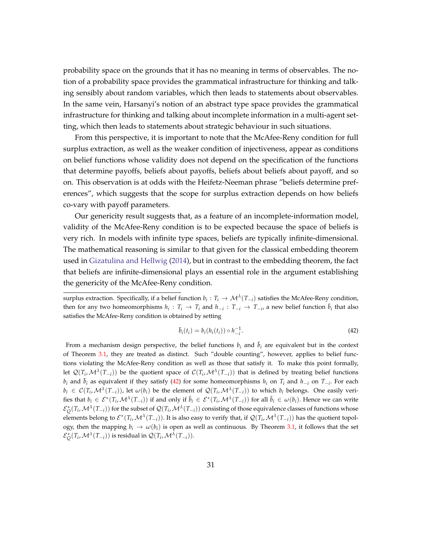probability space on the grounds that it has no meaning in terms of observables. The notion of a probability space provides the grammatical infrastructure for thinking and talking sensibly about random variables, which then leads to statements about observables. In the same vein, Harsanyi's notion of an abstract type space provides the grammatical infrastructure for thinking and talking about incomplete information in a multi-agent setting, which then leads to statements about strategic behaviour in such situations.

From this perspective, it is important to note that the McAfee-Reny condition for full surplus extraction, as well as the weaker condition of injectiveness, appear as conditions on belief functions whose validity does not depend on the specification of the functions that determine payoffs, beliefs about payoffs, beliefs about beliefs about payoff, and so on. This observation is at odds with the Heifetz-Neeman phrase "beliefs determine preferences", which suggests that the scope for surplus extraction depends on how beliefs co-vary with payoff parameters.

Our genericity result suggests that, as a feature of an incomplete-information model, validity of the McAfee-Reny condition is to be expected because the space of beliefs is very rich. In models with infinite type spaces, beliefs are typically infinite-dimensional. The mathematical reasoning is similar to that given for the classical embedding theorem used in [Gizatulina and Hellwig](#page-43-3) [\(2014\)](#page-43-3), but in contrast to the embedding theorem, the fact that beliefs are infinite-dimensional plays an essential role in the argument establishing the genericity of the McAfee-Reny condition.

surplus extraction. Specifically, if a belief function  $b_i: T_i \to \mathcal{M}^{\lambda}(T_{-i})$  satisfies the McAfee-Reny condition, then for any two homeomorphisms  $h_i: T_i \to T_i$  and  $h_{-i}: T_{-i} \to T_{-i}$ , a new belief function  $\bar{b}_i$  that also satisfies the McAfee-Reny condition is obtained by setting

<span id="page-32-0"></span>
$$
\bar{b}_i(t_i) = b_i(h_i(t_i)) \circ h_{-i}^{-1}.
$$
\n(42)

From a mechanism design perspective, the belief functions  $b_i$  and  $\bar{b}_i$  are equivalent but in the context of Theorem [3.1,](#page-13-0) they are treated as distinct. Such "double counting", however, applies to belief functions violating the McAfee-Reny condition as well as those that satisfy it. To make this point formally, let  $\mathcal{Q}(T_i,\mathcal{M}^{\lambda}(T_{-i}))$  be the quotient space of  $\mathcal{C}(T_i,\mathcal{M}^{\lambda}(T_{-i}))$  that is defined by treating belief functions  $b_i$  and  $\bar{b}_i$  as equivalent if they satisfy [\(42\)](#page-32-0) for some homeomorphisms  $h_i$  on  $T_i$  and  $h_{-i}$  on  $T_{-i}$ . For each  $b_i \in C(T_i, \mathcal{M}^{\lambda}(T_{-i}))$ , let  $\omega(b_i)$  be the element of  $\mathcal{Q}(T_i, \mathcal{M}^{\lambda}(T_{-i}))$  to which  $b_i$  belongs. One easily verifies that  $b_i \in \mathcal{E}^*(T_i,\mathcal{M}^{\lambda}(T_{-i}))$  if and only if  $\bar{b}_i \in \mathcal{E}^*(T_i,\mathcal{M}^{\lambda}(T_{-i}))$  for all  $\bar{b}_i \in \omega(b_i)$ . Hence we can write  $\mathcal{E}_Q^*(T_i,\mathcal{M}^\lambda(T_{-i}))$  for the subset of  $\mathcal{Q}(T_i,\mathcal{M}^\lambda(T_{-i}))$  consisting of those equivalence classes of functions whose elements belong to  $\mathcal{E}^*(T_i,\mathcal{M}^{\lambda}(T_{-i}))$ . It is also easy to verify that, if  $\mathcal{Q}(T_i,\mathcal{M}^{\lambda}(T_{-i}))$  has the quotient topology, then the mapping  $b_i \to \omega(b_i)$  is open as well as continuous. By Theorem [3.1,](#page-13-0) it follows that the set  $\mathcal{E}_{\mathcal{Q}}^*(T_i, \mathcal{M}^{\lambda}(T_{-i}))$  is residual in  $\mathcal{Q}(T_i, \mathcal{M}^{\lambda}(T_{-i})).$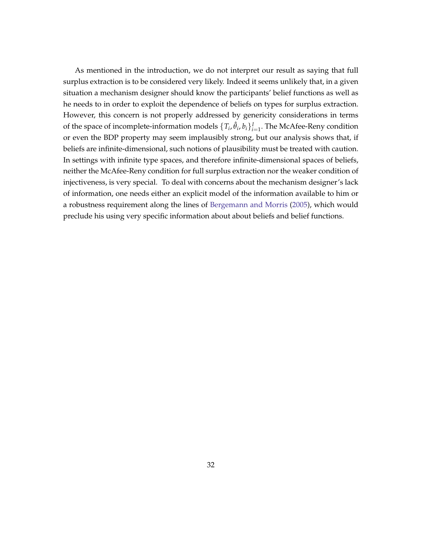As mentioned in the introduction, we do not interpret our result as saying that full surplus extraction is to be considered very likely. Indeed it seems unlikely that, in a given situation a mechanism designer should know the participants' belief functions as well as he needs to in order to exploit the dependence of beliefs on types for surplus extraction. However, this concern is not properly addressed by genericity considerations in terms of the space of incomplete-information models  $\{T_i, \hat{\theta}_i, b_i\}_{i=1}^I$ . The McAfee-Reny condition or even the BDP property may seem implausibly strong, but our analysis shows that, if beliefs are infinite-dimensional, such notions of plausibility must be treated with caution. In settings with infinite type spaces, and therefore infinite-dimensional spaces of beliefs, neither the McAfee-Reny condition for full surplus extraction nor the weaker condition of injectiveness, is very special. To deal with concerns about the mechanism designer's lack of information, one needs either an explicit model of the information available to him or a robustness requirement along the lines of [Bergemann and Morris](#page-42-1) [\(2005\)](#page-42-1), which would preclude his using very specific information about about beliefs and belief functions.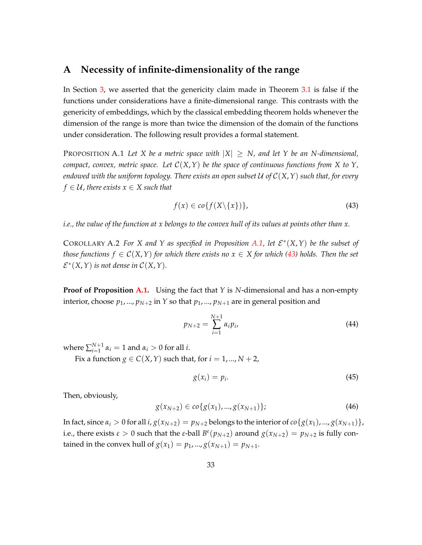## <span id="page-34-0"></span>**A Necessity of infinite-dimensionality of the range**

In Section [3,](#page-12-0) we asserted that the genericity claim made in Theorem [3.1](#page-13-0) is false if the functions under considerations have a finite-dimensional range. This contrasts with the genericity of embeddings, which by the classical embedding theorem holds whenever the dimension of the range is more than twice the dimension of the domain of the functions under consideration. The following result provides a formal statement.

<span id="page-34-1"></span>PROPOSITION A.1 Let X be a metric space with  $|X| \geq N$ , and let Y be an N-dimensional, *compact, convex, metric space. Let*  $C(X, Y)$  *be the space of continuous functions from* X to Y, *endowed with the uniform topology. There exists an open subset* U *of* C(*X*,*Y*) *such that, for every*  $f \in \mathcal{U}$ , there exists  $x \in X$  such that

<span id="page-34-2"></span>
$$
f(x) \in co\{f(X \setminus \{x\})\},\tag{43}
$$

*i.e., the value of the function at x belongs to the convex hull of its values at points other than x.*

COROLLARY A.2 *For X* and *Y* as specified in Proposition [A.1,](#page-34-1) let  $\mathcal{E}^*(X, Y)$  be the subset of *those functions*  $f \in C(X,Y)$  *for which there exists no*  $x \in X$  *for which [\(43\)](#page-34-2) holds. Then the set*  $\mathcal{E}^*(X, Y)$  *is not dense in*  $\mathcal{C}(X, Y)$ *.* 

**Proof of Proposition [A.1.](#page-34-1)** Using the fact that *Y* is *N*-dimensional and has a non-empty interior, choose  $p_1$ , ...,  $p_{N+2}$  in *Y* so that  $p_1$ , ...,  $p_{N+1}$  are in general position and

$$
p_{N+2} = \sum_{i=1}^{N+1} \alpha_i p_i,
$$
\n(44)

where  $\sum_{i=1}^{N+1}$  $a_{i=1}^{N+1}$   $\alpha_i = 1$  and  $\alpha_i > 0$  for all *i*.

Fix a function  $g \in C(X, Y)$  such that, for  $i = 1, ..., N + 2$ ,

$$
g(x_i) = p_i. \tag{45}
$$

Then, obviously,

$$
g(x_{N+2}) \in co\{g(x_1),...,g(x_{N+1})\};\tag{46}
$$

In fact, since  $\alpha_i > 0$  for all  $i$ ,  $g(x_{N+2}) = p_{N+2}$  belongs to the interior of  $co\{g(x_1), ..., g(x_{N+1})\}$ , i.e., there exists  $\varepsilon > 0$  such that the  $\varepsilon$ -ball  $B^{\varepsilon}(p_{N+2})$  around  $g(x_{N+2}) = p_{N+2}$  is fully contained in the convex hull of  $g(x_1) = p_1, ..., g(x_{N+1}) = p_{N+1}$ .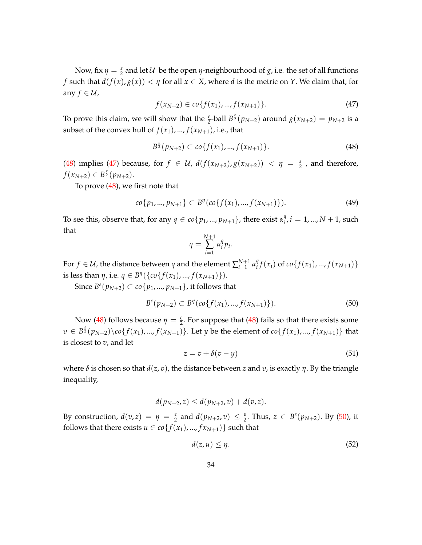Now, fix  $\eta = \frac{\varepsilon}{2}$  and let  $\mathcal U$  be the open  $\eta$ -neighbourhood of  $g$ , i.e. the set of all functions *f* such that  $d(f(x), g(x)) < \eta$  for all  $x \in X$ , where *d* is the metric on *Y*. We claim that, for any  $f \in \mathcal{U}$ ,

<span id="page-35-1"></span>
$$
f(x_{N+2}) \in co\{f(x_1),...,f(x_{N+1})\}.
$$
\n(47)

To prove this claim, we will show that the  $\frac{\varepsilon}{2}$ -ball  $B^{\frac{\varepsilon}{2}}(p_{N+2})$  around  $g(x_{N+2}) = p_{N+2}$  is a subset of the convex hull of  $f(x_1)$ , ...,  $f(x_{N+1})$ , i.e., that

<span id="page-35-0"></span>
$$
B^{\frac{\epsilon}{2}}(p_{N+2}) \subset co\{f(x_1),...,f(x_{N+1})\}.
$$
\n(48)

[\(48\)](#page-35-0) implies [\(47\)](#page-35-1) because, for  $f \in \mathcal{U}$ ,  $d(f(x_{N+2}), g(x_{N+2})) < \eta = \frac{\varepsilon}{2}$ , and therefore,  $f(x_{N+2}) \in B^{\frac{\varepsilon}{2}}(p_{N+2}).$ 

To prove [\(48\)](#page-35-0), we first note that

$$
co\{p_1,...,p_{N+1}\} \subset B^{\eta}(co\{f(x_1),...,f(x_{N+1})\}).
$$
\n(49)

To see this, observe that, for any  $q \in co\{p_1, ..., p_{N+1}\}$ , there exist  $\alpha_i^q$  $i^q$ ,  $i = 1, ..., N + 1$ , such that

$$
q = \sum_{i=1}^{N+1} \alpha_i^q p_i.
$$

For  $f \in \mathcal{U}$ , the distance between  $q$  and the element  $\sum_{i=1}^{N+1}$  $\sum_{i=1}^{N+1} \alpha_i^q$  $f(x_i)$  of  $co\{f(x_1),..., f(x_{N+1})\}$ is less than  $\eta$ , i.e.  $q \in B^{\eta}(\{co\{f(x_1),...,f(x_{N+1})\}).$ 

 ${\rm Since}\ B^\varepsilon(p_{N+2})\subset co\{p_1,...,p_{N+1}\},$  it follows that

<span id="page-35-2"></span>
$$
B^{\varepsilon}(p_{N+2}) \subset B^{\eta}(co\{f(x_1),...,f(x_{N+1})\}).
$$
\n(50)

Now [\(48\)](#page-35-0) follows because  $\eta = \frac{\varepsilon}{2}$ . For suppose that (48) fails so that there exists some  $v\in B^{\frac{\varepsilon}{2}}(p_{N+2})\backslash co\{f(x_1),...,f(x_{N+1})\}.$  Let  $y$  be the element of  $co\{f(x_1),...,f(x_{N+1})\}$  that is closest to *v*, and let

<span id="page-35-3"></span>
$$
z = v + \delta(v - y) \tag{51}
$$

where  $\delta$  is chosen so that  $d(z, v)$ , the distance between *z* and *v*, is exactly *η*. By the triangle inequality,

$$
d(p_{N+2},z)\leq d(p_{N+2},v)+d(v,z).
$$

By construction,  $d(v, z) = \eta = \frac{\varepsilon}{2}$  and  $d(p_{N+2}, v) \leq \frac{\varepsilon}{2}$ . Thus,  $z \in B^{\varepsilon}(p_{N+2})$ . By [\(50\)](#page-35-2), it follows that there exists  $u \in \text{co}\{f(x_1), ..., f(x_{N+1})\}$  such that

<span id="page-35-4"></span>
$$
d(z, u) \le \eta. \tag{52}
$$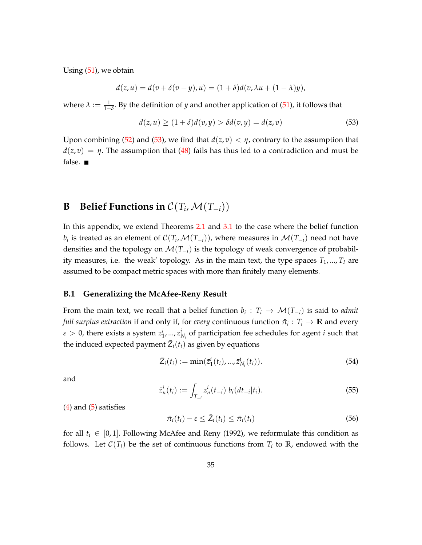Using [\(51\)](#page-35-3), we obtain

$$
d(z, u) = d(v + \delta(v - y), u) = (1 + \delta)d(v, \lambda u + (1 - \lambda)y),
$$

where  $\lambda := \frac{1}{1+\delta}$ . By the definition of *y* and another application of [\(51\)](#page-35-3), it follows that

<span id="page-36-0"></span>
$$
d(z, u) \ge (1 + \delta)d(v, y) > \delta d(v, y) = d(z, v)
$$
\n(53)

Upon combining [\(52\)](#page-35-4) and [\(53\)](#page-36-0), we find that  $d(z, v) < \eta$ , contrary to the assumption that  $d(z, v) = \eta$ . The assumption that [\(48\)](#page-35-0) fails has thus led to a contradiction and must be false.  $\blacksquare$ 

## **B** Belief Functions in  $\mathcal{C}(T_i, \mathcal{M}(T_{-i}))$

In this appendix, we extend Theorems [2.1](#page-11-1) and [3.1](#page-13-0) to the case where the belief function  $b_i$  is treated as an element of  $\mathcal{C}(T_i,\mathcal{M}(T_{-i}))$ , where measures in  $\mathcal{M}(T_{-i})$  need not have densities and the topology on M(*T*−*i*) is the topology of weak convergence of probability measures, i.e. the weak' topology. As in the main text, the type spaces  $T_1$ , ...,  $T_I$  are assumed to be compact metric spaces with more than finitely many elements.

#### **B.1 Generalizing the McAfee-Reny Result**

From the main text, we recall that a belief function  $b_i: T_i \to \mathcal{M}(T_{-i})$  is said to *admit full surplus extraction* if and only if, for *every* continuous function  $\bar{\pi}_i : T_i \to \mathbb{R}$  and every  $\varepsilon > 0$ , there exists a system  $z_1^i, ..., z_{N_i}^i$  of participation fee schedules for agent *i* such that the induced expected payment  $\bar{Z}_i(t_i)$  as given by equations

$$
\bar{Z}_i(t_i) := \min(\bar{z}_1^i(t_i), ..., \bar{z}_{N_i}^i(t_i)).\tag{54}
$$

and

$$
\bar{z}_n^i(t_i) := \int_{T_{-i}} z_n^i(t_{-i}) b_i(dt_{-i}|t_i).
$$
\n(55)

 $(4)$  and  $(5)$  satisfies

$$
\bar{\pi}_i(t_i) - \varepsilon \le \bar{Z}_i(t_i) \le \bar{\pi}_i(t_i) \tag{56}
$$

for all  $t_i \in [0,1]$ . Following McAfee and Reny (1992), we reformulate this condition as follows. Let  $\mathcal{C}(T_i)$  be the set of continuous functions from  $T_i$  to  $\mathbb{R}$ , endowed with the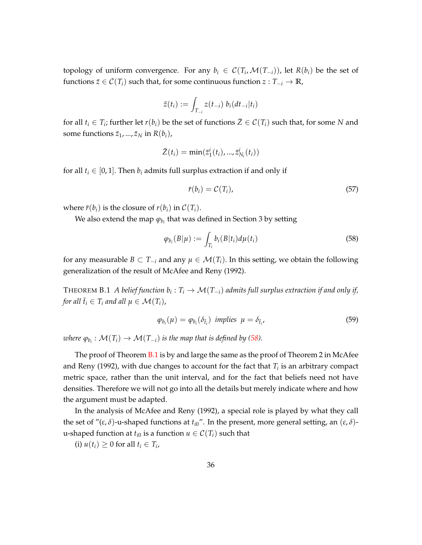topology of uniform convergence. For any  $b_i \in C(T_i, \mathcal{M}(T_{-i}))$ , let  $R(b_i)$  be the set of functions  $\bar{z} \in C(T_i)$  such that, for some continuous function  $z : T_{-i} \to \mathbb{R}$ ,

$$
\bar{z}(t_i) := \int_{T_{-i}} z(t_{-i}) b_i(dt_{-i}|t_i)
$$

for all  $t_i \in T_i$ ; further let  $r(b_i)$  be the set of functions  $\bar{Z} \in C(T_i)$  such that, for some N and some functions  $\bar{z}_1$ , ...,  $\bar{z}_N$  in  $R(b_i)$ ,

$$
\bar{Z}(t_i) = \min(\bar{z}_1^i(t_i), ..., \bar{z}_{N_i}^i(t_i))
$$

for all  $t_i \in [0, 1]$ . Then  $b_i$  admits full surplus extraction if and only if

$$
\bar{r}(b_i) = \mathcal{C}(T_i),\tag{57}
$$

where  $\bar{r}(b_i)$  is the closure of  $r(b_i)$  in  $\mathcal{C}(T_i)$ .

We also extend the map  $\varphi_{b_i}$  that was defined in Section 3 by setting

<span id="page-37-0"></span>
$$
\varphi_{b_i}(B|\mu) := \int_{T_i} b_i(B|t_i) d\mu(t_i) \tag{58}
$$

for any measurable *B* ⊂ *T*<sub>−*i*</sub> and any  $\mu$  ∈  $\mathcal{M}(T_i)$ . In this setting, we obtain the following generalization of the result of McAfee and Reny (1992).

<span id="page-37-1"></span>THEOREM  $B.1\,$   $A$  belief function  $b_i:T_i\rightarrow \mathcal{M}(T_{-i})$  admits full surplus extraction if and only if, *for all*  $\bar{t}_i \in T_i$  *and all*  $\mu \in \mathcal{M}(T_i)$ ,

<span id="page-37-2"></span>
$$
\varphi_{b_i}(\mu) = \varphi_{b_i}(\delta_{\bar{t}_i}) \text{ implies } \mu = \delta_{\bar{t}_i}, \tag{59}
$$

 $\omega$ here  $\varphi_{b_i}: \mathcal{M}(T_i) \to \mathcal{M}(T_{-i})$  is the map that is defined by [\(58\)](#page-37-0).

The proof of Theorem [B.1](#page-37-1) is by and large the same as the proof of Theorem 2 in McAfee and Reny (1992), with due changes to account for the fact that *T<sup>i</sup>* is an arbitrary compact metric space, rather than the unit interval, and for the fact that beliefs need not have densities. Therefore we will not go into all the details but merely indicate where and how the argument must be adapted.

In the analysis of McAfee and Reny (1992), a special role is played by what they call the set of "(*ε*, *δ*)-u-shaped functions at  $t_{i0}$ ". In the present, more general setting, an (*ε*, *δ*)u-shaped function at  $t_{i0}$  is a function  $u \in \mathcal{C}(T_i)$  such that

(i)  $u(t_i) \geq 0$  for all  $t_i \in T_i$ ,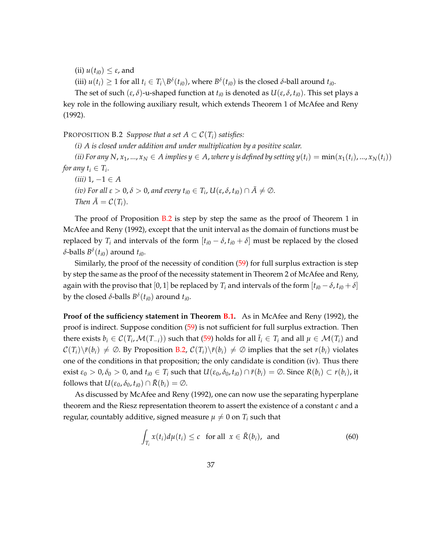(ii)  $u(t_{i0}) \leq \varepsilon$ , and

(iii)  $u(t_i) \geq 1$  for all  $t_i \in T_i \backslash B^{\delta}(t_{i0})$ , where  $B^{\delta}(t_{i0})$  is the closed  $\delta$ -ball around  $t_{i0}$ .

The set of such  $(\varepsilon, \delta)$ -u-shaped function at  $t_{i0}$  is denoted as  $U(\varepsilon, \delta, t_{i0})$ . This set plays a key role in the following auxiliary result, which extends Theorem 1 of McAfee and Reny (1992).

<span id="page-38-0"></span>PROPOSITION B.2 *Suppose that a set*  $A \subset C(T_i)$  *satisfies:* 

*(i) A is closed under addition and under multiplication by a positive scalar.*

 $f(i)$  For any N,  $x_1, ..., x_N \in A$  implies  $y \in A$ , where y is defined by setting  $y(t_i) = \min(x_1(t_i), ..., x_N(t_i))$ *for any*  $t_i \in T_i$ . *(iii)* 1, −1 ∈ *A*

*(iv)* For all  $\varepsilon > 0$ ,  $\delta > 0$ , and every  $t_{i0} \in T_i$ ,  $U(\varepsilon, \delta, t_{i0}) \cap \bar{A} \neq \emptyset$ . *Then*  $\overline{A} = C(T_i)$ .

The proof of Proposition [B.2](#page-38-0) is step by step the same as the proof of Theorem 1 in McAfee and Reny (1992), except that the unit interval as the domain of functions must be replaced by  $T_i$  and intervals of the form  $[t_{i0} - \delta, t_{i0} + \delta]$  must be replaced by the closed *δ*-balls *B δ* (*ti*0) around *ti*0.

Similarly, the proof of the necessity of condition [\(59\)](#page-37-2) for full surplus extraction is step by step the same as the proof of the necessity statement in Theorem 2 of McAfee and Reny, again with the proviso that [0, 1] be replaced by  $T_i$  and intervals of the form  $[t_{i0} - \delta, t_{i0} + \delta]$ by the closed *δ*-balls  $B<sup>δ</sup>(t<sub>i0</sub>)$  around  $t<sub>i0</sub>$ .

**Proof of the sufficiency statement in Theorem [B.1.](#page-37-1)** As in McAfee and Reny (1992), the proof is indirect. Suppose condition [\(59\)](#page-37-2) is not sufficient for full surplus extraction. Then there exists  $b_i \in C(T_i, \mathcal{M}(T_{-i}))$  such that [\(59\)](#page-37-2) holds for all  $\bar{t}_i \in T_i$  and all  $\mu \in \mathcal{M}(T_i)$  and  $\mathcal{C}(T_i)\backslash \bar{r}(b_i) \neq \emptyset$ . By Proposition [B.2,](#page-38-0)  $\mathcal{C}(T_i)\backslash \bar{r}(b_i) \neq \emptyset$  implies that the set  $r(b_i)$  violates one of the conditions in that proposition; the only candidate is condition (iv). Thus there exist  $\varepsilon_0 > 0$ ,  $\delta_0 > 0$ , and  $t_{i0} \in T_i$  such that  $U(\varepsilon_0, \delta_0, t_{i0}) \cap \overline{r}(b_i) = \emptyset$ . Since  $R(b_i) \subset r(b_i)$ , it follows that  $U(\varepsilon_0, \delta_0, t_{i0}) \cap \overline{R}(b_i) = \emptyset$ .

As discussed by McAfee and Reny (1992), one can now use the separating hyperplane theorem and the Riesz representation theorem to assert the existence of a constant *c* and a regular, countably additive, signed measure  $\mu \neq 0$  on  $T_i$  such that

$$
\int_{T_i} x(t_i) d\mu(t_i) \le c \quad \text{for all} \ \ x \in \bar{R}(b_i), \ \text{and} \tag{60}
$$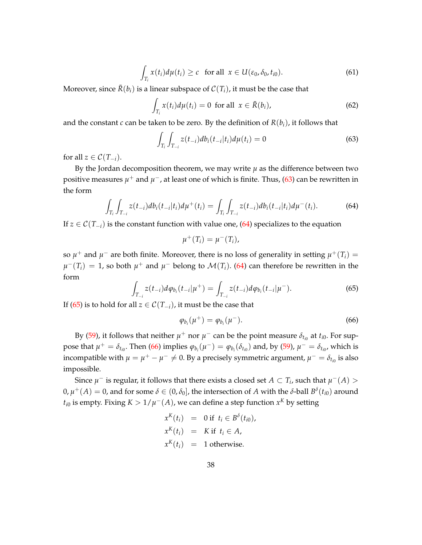<span id="page-39-4"></span>
$$
\int_{T_i} x(t_i) d\mu(t_i) \geq c \quad \text{for all} \ \ x \in U(\varepsilon_0, \delta_0, t_{i0}). \tag{61}
$$

Moreover, since  $\bar{R}(b_i)$  is a linear subspace of  $\mathcal{C}(T_i)$ , it must be the case that

$$
\int_{T_i} x(t_i) d\mu(t_i) = 0 \text{ for all } x \in \bar{R}(b_i), \tag{62}
$$

and the constant *c* can be taken to be zero. By the definition of  $R(b_i)$ , it follows that

<span id="page-39-0"></span>
$$
\int_{T_i} \int_{T_{-i}} z(t_{-i}) db_i(t_{-i}|t_i) d\mu(t_i) = 0
$$
\n(63)

for all  $z \in \mathcal{C}(T_{-i})$ .

By the Jordan decomposition theorem, we may write  $\mu$  as the difference between two positive measures  $\mu^+$  and  $\mu^-$ , at least one of which is finite. Thus, [\(63\)](#page-39-0) can be rewritten in the form

<span id="page-39-1"></span>
$$
\int_{T_i} \int_{T_{-i}} z(t_{-i}) db_i(t_{-i}|t_i) d\mu^+(t_i) = \int_{T_i} \int_{T_{-i}} z(t_{-i}) db_i(t_{-i}|t_i) d\mu^-(t_i).
$$
 (64)

If  $z \in C(T_{-i})$  is the constant function with value one, [\(64\)](#page-39-1) specializes to the equation

$$
\mu^+(T_i)=\mu^-(T_i),
$$

so  $\mu^+$  and  $\mu^-$  are both finite. Moreover, there is no loss of generality in setting  $\mu^+(T_i) =$  $\mu^-(T_i) = 1$ , so both  $\mu^+$  and  $\mu^-$  belong to  $\mathcal{M}(T_i)$ . [\(64\)](#page-39-1) can therefore be rewritten in the form

<span id="page-39-2"></span>
$$
\int_{T_{-i}} z(t_{-i}) d\varphi_{b_i}(t_{-i}|\mu^+) = \int_{T_{-i}} z(t_{-i}) d\varphi_{b_i}(t_{-i}|\mu^-). \tag{65}
$$

If [\(65\)](#page-39-2) is to hold for all *z* ∈  $C(T_{-i})$ , it must be the case that

<span id="page-39-3"></span>
$$
\varphi_{b_i}(\mu^+) = \varphi_{b_i}(\mu^-). \tag{66}
$$

By [\(59\)](#page-37-2), it follows that neither  $\mu^+$  nor  $\mu^-$  can be the point measure  $\delta_{t_{i0}}$  at  $t_{i0}$ . For suppose that  $\mu^+ = \delta_{t_{i0}}$ . Then [\(66\)](#page-39-3) implies  $\varphi_{b_i}(\mu^-) = \varphi_{b_i}(\delta_{t_{i0}})$  and, by [\(59\)](#page-37-2),  $\mu^- = \delta_{t_{i0}}$ , which is incompatible with  $\mu = \mu^+ - \mu^- \neq 0$ . By a precisely symmetric argument,  $\mu^- = \delta_{t_{i0}}$  is also impossible.

Since  $\mu^-$  is regular, it follows that there exists a closed set  $A \subset T_i$ , such that  $\mu^-(A) > 0$  $0, μ<sup>+</sup>(A) = 0$ , and for some  $\delta \in (0, \delta_0]$ , the intersection of A with the  $\delta$ -ball  $B<sup>\delta</sup>(t_{i0})$  around  $t_{i0}$  is empty. Fixing  $K > 1/\mu^-(A)$ , we can define a step function  $x^K$  by setting

$$
x^{K}(t_{i}) = 0 \text{ if } t_{i} \in B^{\delta}(t_{i0}),
$$
  
\n
$$
x^{K}(t_{i}) = K \text{ if } t_{i} \in A,
$$
  
\n
$$
x^{K}(t_{i}) = 1 \text{ otherwise.}
$$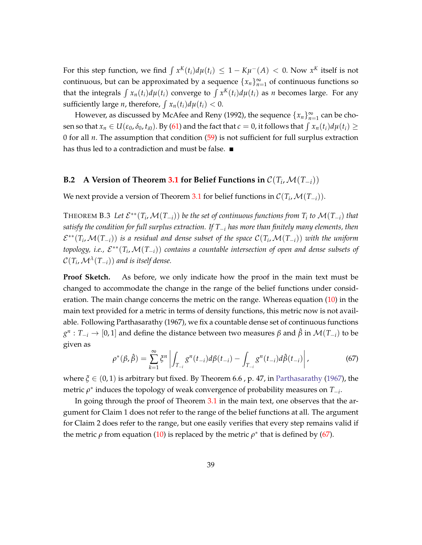For this step function, we find  $\int x^K(t_i) d\mu(t_i) \leq 1 - K\mu^-(A) < 0$ . Now  $x^K$  itself is not continuous, but can be approximated by a sequence  $\{x_n\}_{n=1}^{\infty}$  of continuous functions so that the integrals  $\int x_n(t_i) d\mu(t_i)$  converge to  $\int x^K(t_i) d\mu(t_i)$  as *n* becomes large. For any sufficiently large *n*, therefore,  $\int x_n(t_i) d\mu(t_i) < 0$ .

However, as discussed by McAfee and Reny (1992), the sequence  $\{x_n\}_{n=1}^{\infty}$  can be chosen so that  $x_n \in U(\varepsilon_0, \delta_0, t_{i0})$ . By [\(61\)](#page-39-4) and the fact that  $c = 0$ , it follows that  $\int x_n(t_i) d\mu(t_i) \ge$ 0 for all  $n$ . The assumption that condition  $(59)$  is not sufficient for full surplus extraction has thus led to a contradiction and must be false.

## **B.2** A Version of Theorem [3.1](#page-13-0) for Belief Functions in  $\mathcal{C}(T_i, \mathcal{M}(T_{-i}))$

<span id="page-40-1"></span>We next provide a version of Theorem [3.1](#page-13-0) for belief functions in  $\mathcal{C}(T_i,\mathcal{M}(T_{-i})).$ 

**THEOREM B.3** Let  $\mathcal{E}^{**}(T_i,\mathcal{M}(T_{-i}))$  be the set of continuous functions from  $T_i$  to  $\mathcal{M}(T_{-i})$  that *satisfy the condition for full surplus extraction. If T*−*<sup>i</sup> has more than finitely many elements, then*  $\mathcal{E}^{**}(T_i,\mathcal{M}(T_{-i}))$  is a residual and dense subset of the space  $\mathcal{C}(T_i,\mathcal{M}(T_{-i}))$  with the uniform *topology, i.e., E*<sup>\*\*</sup>(T<sub>*i*</sub>,M(T<sub>−i</sub>)) *contains a countable intersection of open and dense subsets of*  $\mathcal{C}(T_i,\mathcal{M}^{\lambda}(T_{-i}))$  and is itself dense.

**Proof Sketch.** As before, we only indicate how the proof in the main text must be changed to accommodate the change in the range of the belief functions under consideration. The main change concerns the metric on the range. Whereas equation [\(10\)](#page-18-1) in the main text provided for a metric in terms of density functions, this metric now is not available. Following Parthasarathy (1967), we fix a countable dense set of continuous functions *g n* : *T*−*<sup>i</sup>* → [0, 1] and define the distance between two measures *β* and *β*ˆ in M(*T*−*i*) to be given as

<span id="page-40-0"></span>
$$
\rho^*(\beta, \hat{\beta}) = \sum_{k=1}^{\infty} \xi^n \left| \int_{T_{-i}} g^n(t_{-i}) d\beta(t_{-i}) - \int_{T_{-i}} g^n(t_{-i}) d\hat{\beta}(t_{-i}) \right|,
$$
(67)

where  $\zeta \in (0,1)$  is arbitrary but fixed. By Theorem 6.6, p. 47, in [Parthasarathy](#page-43-10) [\(1967\)](#page-43-10), the metric *ρ*<sup>∗</sup> induces the topology of weak convergence of probability measures on *T*<sub>−*i*</sub>.

In going through the proof of Theorem [3.1](#page-13-0) in the main text, one observes that the argument for Claim 1 does not refer to the range of the belief functions at all. The argument for Claim 2 does refer to the range, but one easily verifies that every step remains valid if the metric  $\rho$  from equation [\(10\)](#page-18-1) is replaced by the metric  $\rho^*$  that is defined by [\(67\)](#page-40-0).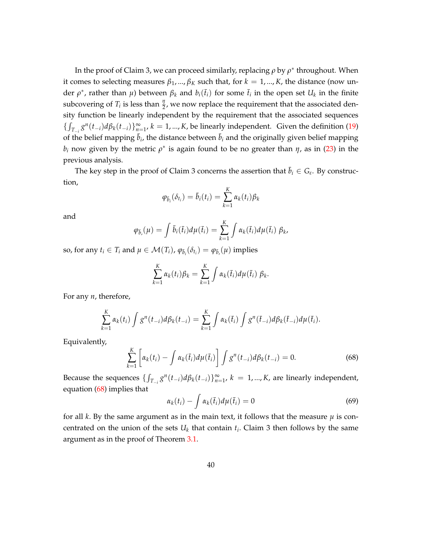In the proof of Claim 3, we can proceed similarly, replacing *ρ* by *ρ*<sup>\*</sup> throughout. When it comes to selecting measures  $\beta_1$ , ...,  $\beta_K$  such that, for  $k = 1$ , ..., *K*, the distance (now under  $\rho^*$ , rather than  $\mu$ ) between  $\beta_k$  and  $b_i(\bar{t}_i)$  for some  $\bar{t}_i$  in the open set  $U_k$  in the finite subcovering of  $T_i$  is less than  $\frac{\eta}{2}$ , we now replace the requirement that the associated density function be linearly independent by the requirement that the associated sequences  $\{\int_{T_{-i}} g^n(t_{-i}) d\beta_k(t_{-i})\}_{n=1}^{\infty}$ ,  $k = 1, ..., K$ , be linearly independent. Given the definition [\(19\)](#page-20-3) of the belief mapping  $\bar{b}_i$ , the distance between  $\bar{b}_i$  and the originally given belief mapping  *now given by the metric*  $ρ$ *<sup>\*</sup> is again found to be no greater than <i>η*, as in [\(23\)](#page-23-1) in the previous analysis.

The key step in the proof of Claim 3 concerns the assertion that  $\bar{b}_i \in G_{\varepsilon}$ . By construction,

$$
\varphi_{\bar{b}_i}(\delta_{t_i}) = \bar{b}_i(t_i) = \sum_{k=1}^K \alpha_k(t_i) \beta_k
$$

and

$$
\varphi_{\bar{b}}(\mu) = \int \bar{b}_i(\bar{t}_i) d\mu(\bar{t}_i) = \sum_{k=1}^K \int \alpha_k(\bar{t}_i) d\mu(\bar{t}_i) \beta_k,
$$

so, for any  $t_i \in T_i$  and  $\mu \in \mathcal{M}(T_i)$ ,  $\varphi_{\bar{b}_i}(\delta_{t_i}) = \varphi_{\bar{b}_i}(\mu)$  implies

$$
\sum_{k=1}^K \alpha_k(t_i)\beta_k = \sum_{k=1}^K \int \alpha_k(\bar{t}_i)d\mu(\bar{t}_i) \beta_k.
$$

For any *n*, therefore,

$$
\sum_{k=1}^K \alpha_k(t_i) \int g^n(t_{-i}) d\beta_k(t_{-i}) = \sum_{k=1}^K \int \alpha_k(\bar{t}_i) \int g^n(\bar{t}_{-i}) d\beta_k(\bar{t}_{-i}) d\mu(\bar{t}_i).
$$

Equivalently,

<span id="page-41-0"></span>
$$
\sum_{k=1}^{K} \left[ \alpha_k(t_i) - \int \alpha_k(\bar{t}_i) d\mu(\bar{t}_i) \right] \int g^n(t_{-i}) d\beta_k(t_{-i}) = 0.
$$
 (68)

Because the sequences  $\{\int_{T_{-i}} g^n(t_{-i}) d\beta_k(t_{-i})\}_{n=1}^{\infty}$ ,  $k = 1, ..., K$ , are linearly independent, equation [\(68\)](#page-41-0) implies that

$$
\alpha_k(t_i) - \int \alpha_k(\bar{t}_i) d\mu(\bar{t}_i) = 0 \tag{69}
$$

for all *k*. By the same argument as in the main text, it follows that the measure  $\mu$  is concentrated on the union of the sets  $U_k$  that contain  $t_i$ . Claim 3 then follows by the same argument as in the proof of Theorem [3.1.](#page-13-0)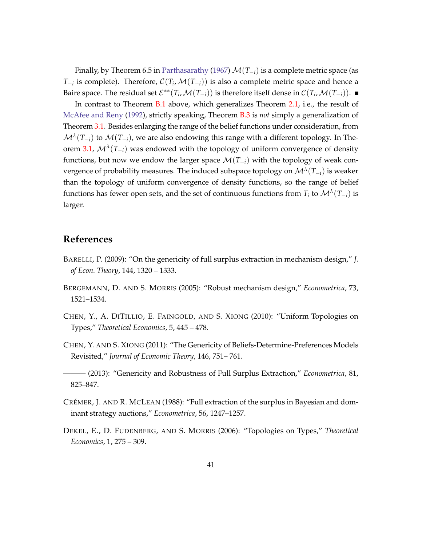Finally, by Theorem 6.5 in [Parthasarathy](#page-43-10) [\(1967\)](#page-43-10) M(*T*−*i*) is a complete metric space (as *T*<sub>−*i*</sub> is complete). Therefore,  $\mathcal{C}(T_i, \mathcal{M}(T_{-i}))$  is also a complete metric space and hence a Baire space. The residual set  $\mathcal{E}^{**}(T_i,\mathcal{M}(T_{-i}))$  is therefore itself dense in  $\mathcal{C}(T_i,\mathcal{M}(T_{-i}))$ .

In contrast to Theorem [B.1](#page-37-1) above, which generalizes Theorem [2.1,](#page-11-1) i.e., the result of [McAfee and Reny](#page-43-0) [\(1992\)](#page-43-0), strictly speaking, Theorem [B.3](#page-40-1) is *not* simply a generalization of Theorem [3.1.](#page-13-0) Besides enlarging the range of the belief functions under consideration, from  $\mathcal{M}^{\lambda}(T_{-i})$  to  $\mathcal{M}(T_{-i})$ , we are also endowing this range with a different topology. In The-orem [3.1,](#page-13-0)  $\mathcal{M}^{\lambda}(T_{-i})$  was endowed with the topology of uniform convergence of density functions, but now we endow the larger space  $\mathcal{M}(T_{-i})$  with the topology of weak convergence of probability measures. The induced subspace topology on M*<sup>λ</sup>* (*T*−*i*) is weaker than the topology of uniform convergence of density functions, so the range of belief functions has fewer open sets, and the set of continuous functions from  $T_i$  to  $\mathcal{M}^\lambda(T_{-i})$  is larger.

### **References**

- <span id="page-42-2"></span>BARELLI, P. (2009): "On the genericity of full surplus extraction in mechanism design," *J. of Econ. Theory*, 144, 1320 – 1333.
- <span id="page-42-1"></span>BERGEMANN, D. AND S. MORRIS (2005): "Robust mechanism design," *Econometrica*, 73, 1521–1534.
- <span id="page-42-6"></span>CHEN, Y., A. DITILLIO, E. FAINGOLD, AND S. XIONG (2010): "Uniform Topologies on Types," *Theoretical Economics*, 5, 445 – 478.
- <span id="page-42-3"></span>CHEN, Y. AND S. XIONG (2011): "The Genericity of Beliefs-Determine-Preferences Models Revisited," *Journal of Economic Theory*, 146, 751– 761.
- <span id="page-42-4"></span>——— (2013): "Genericity and Robustness of Full Surplus Extraction," *Econometrica*, 81, 825–847.
- <span id="page-42-0"></span>CRÉMER, J. AND R. MCLEAN (1988): "Full extraction of the surplus in Bayesian and dominant strategy auctions," *Econometrica*, 56, 1247–1257.
- <span id="page-42-5"></span>DEKEL, E., D. FUDENBERG, AND S. MORRIS (2006): "Topologies on Types," *Theoretical Economics*, 1, 275 – 309.